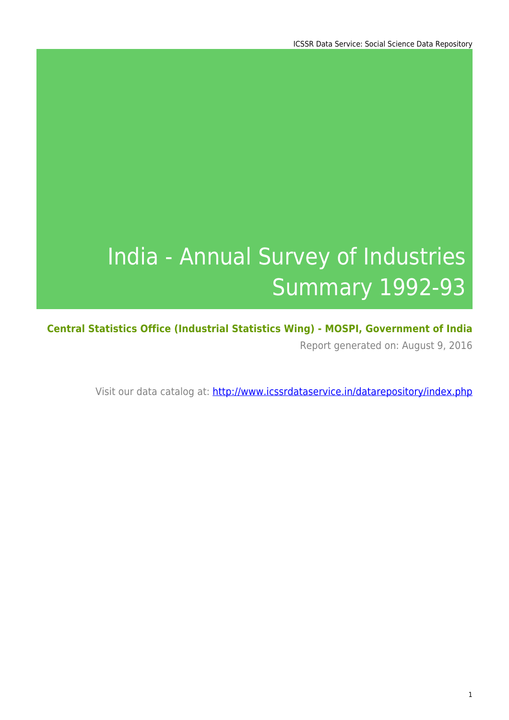# India - Annual Survey of Industries Summary 1992-93

**Central Statistics Office (Industrial Statistics Wing) - MOSPI, Government of India**

Report generated on: August 9, 2016

Visit our data catalog at: http://www.icssrdataservice.in/datarepository/index.php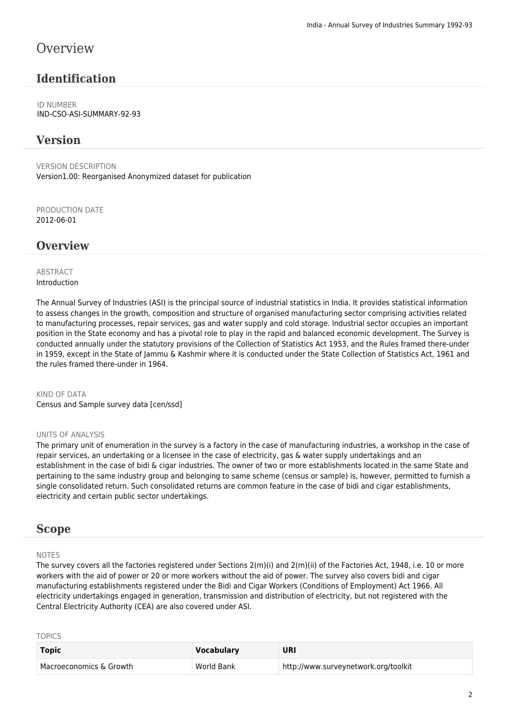### **Overview**

### **Identification**

ID NUMBER IND-CSO-ASI-SUMMARY-92-93

### **Version**

VERSION DESCRIPTION Version1.00: Reorganised Anonymized dataset for publication

PRODUCTION DATE 2012-06-01

### **Overview**

#### **ABSTRACT** Introduction

The Annual Survey of Industries (ASI) is the principal source of industrial statistics in India. It provides statistical information to assess changes in the growth, composition and structure of organised manufacturing sector comprising activities related to manufacturing processes, repair services, gas and water supply and cold storage. Industrial sector occupies an important position in the State economy and has a pivotal role to play in the rapid and balanced economic development. The Survey is conducted annually under the statutory provisions of the Collection of Statistics Act 1953, and the Rules framed there-under in 1959, except in the State of Jammu & Kashmir where it is conducted under the State Collection of Statistics Act, 1961 and the rules framed there-under in 1964.

KIND OF DATA Census and Sample survey data [cen/ssd]

#### UNITS OF ANALYSIS

The primary unit of enumeration in the survey is a factory in the case of manufacturing industries, a workshop in the case of repair services, an undertaking or a licensee in the case of electricity, gas & water supply undertakings and an establishment in the case of bidi & cigar industries. The owner of two or more establishments located in the same State and pertaining to the same industry group and belonging to same scheme (census or sample) is, however, permitted to furnish a single consolidated return. Such consolidated returns are common feature in the case of bidi and cigar establishments, electricity and certain public sector undertakings.

### **Scope**

#### NOTES

The survey covers all the factories registered under Sections 2(m)(i) and 2(m)(ii) of the Factories Act, 1948, i.e. 10 or more workers with the aid of power or 20 or more workers without the aid of power. The survey also covers bidi and cigar manufacturing establishments registered under the Bidi and Cigar Workers (Conditions of Employment) Act 1966. All electricity undertakings engaged in generation, transmission and distribution of electricity, but not registered with the Central Electricity Authority (CEA) are also covered under ASI.

TOPICS

| <b>Topic</b>            | <b>Vocabulary</b> | URI                                  |  |
|-------------------------|-------------------|--------------------------------------|--|
| Macroeconomics & Growth | World Bank        | http://www.surveynetwork.org/toolkit |  |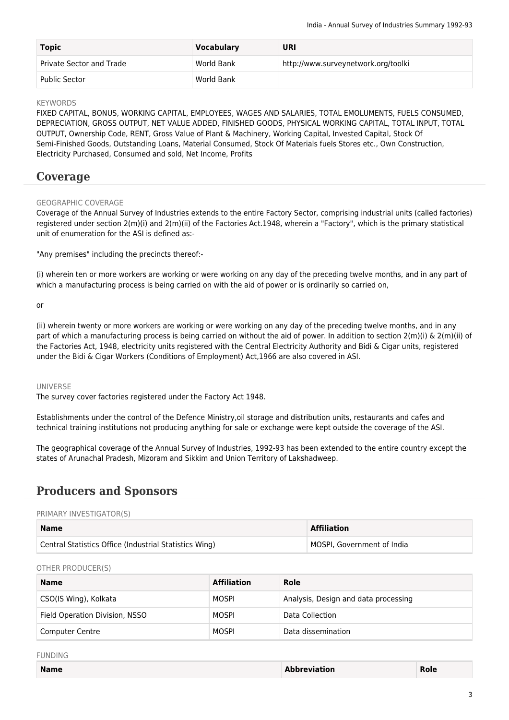| <b>Topic</b>                    | <b>Vocabulary</b> | URI                                 |
|---------------------------------|-------------------|-------------------------------------|
| <b>Private Sector and Trade</b> | World Bank        | http://www.surveynetwork.org/toolki |
| Public Sector                   | World Bank        |                                     |

#### KEYWORDS

FIXED CAPITAL, BONUS, WORKING CAPITAL, EMPLOYEES, WAGES AND SALARIES, TOTAL EMOLUMENTS, FUELS CONSUMED, DEPRECIATION, GROSS OUTPUT, NET VALUE ADDED, FINISHED GOODS, PHYSICAL WORKING CAPITAL, TOTAL INPUT, TOTAL OUTPUT, Ownership Code, RENT, Gross Value of Plant & Machinery, Working Capital, Invested Capital, Stock Of Semi-Finished Goods, Outstanding Loans, Material Consumed, Stock Of Materials fuels Stores etc., Own Construction, Electricity Purchased, Consumed and sold, Net Income, Profits

### **Coverage**

#### GEOGRAPHIC COVERAGE

Coverage of the Annual Survey of Industries extends to the entire Factory Sector, comprising industrial units (called factories) registered under section 2(m)(i) and 2(m)(ii) of the Factories Act.1948, wherein a "Factory", which is the primary statistical unit of enumeration for the ASI is defined as:-

"Any premises" including the precincts thereof:-

(i) wherein ten or more workers are working or were working on any day of the preceding twelve months, and in any part of which a manufacturing process is being carried on with the aid of power or is ordinarily so carried on,

or

(ii) wherein twenty or more workers are working or were working on any day of the preceding twelve months, and in any part of which a manufacturing process is being carried on without the aid of power. In addition to section 2(m)(i) & 2(m)(ii) of the Factories Act, 1948, electricity units registered with the Central Electricity Authority and Bidi & Cigar units, registered under the Bidi & Cigar Workers (Conditions of Employment) Act,1966 are also covered in ASI.

#### UNIVERSE

The survey cover factories registered under the Factory Act 1948.

Establishments under the control of the Defence Ministry,oil storage and distribution units, restaurants and cafes and technical training institutions not producing anything for sale or exchange were kept outside the coverage of the ASI.

The geographical coverage of the Annual Survey of Industries, 1992-93 has been extended to the entire country except the states of Arunachal Pradesh, Mizoram and Sikkim and Union Territory of Lakshadweep.

### **Producers and Sponsors**

#### PRIMARY INVESTIGATOR(S)

| <b>Name</b>                                            | <b>Affiliation</b>         |
|--------------------------------------------------------|----------------------------|
| Central Statistics Office (Industrial Statistics Wing) | MOSPI, Government of India |

#### OTHER PRODUCER(S)

| <b>Name</b>                    | <b>Affiliation</b> | Role                                 |
|--------------------------------|--------------------|--------------------------------------|
| CSO(IS Wing), Kolkata          | MOSPI              | Analysis, Design and data processing |
| Field Operation Division, NSSO | MOSPI              | Data Collection                      |
| <b>Computer Centre</b>         | MOSPI              | Data dissemination                   |

```
FUNDING
```

|  | <b>Name</b> | <b>Abbreviation</b> | Role |
|--|-------------|---------------------|------|
|--|-------------|---------------------|------|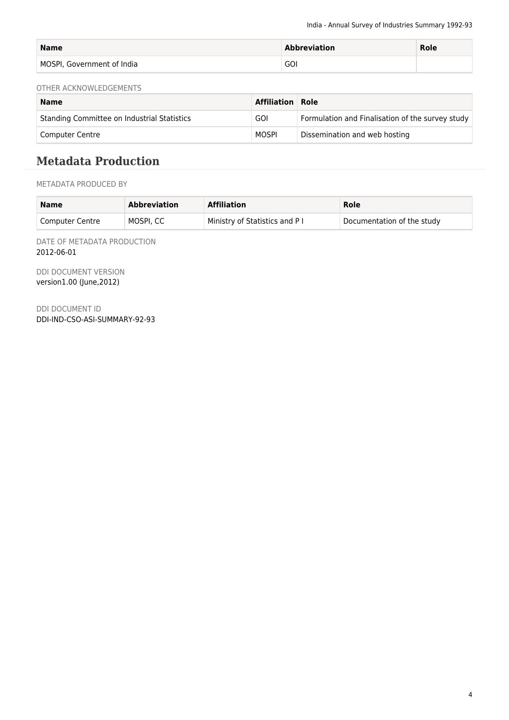| <b>Name</b>                | <b>Abbreviation</b> | Role |
|----------------------------|---------------------|------|
| MOSPI. Government of India | GO.                 |      |

OTHER ACKNOWLEDGEMENTS

| <b>Name</b>                                 | <b>Affiliation Role</b> |                                                  |
|---------------------------------------------|-------------------------|--------------------------------------------------|
| Standing Committee on Industrial Statistics | GOI                     | Formulation and Finalisation of the survey study |
| Computer Centre                             | MOSPI                   | Dissemination and web hosting                    |

### **Metadata Production**

METADATA PRODUCED BY

| <b>Name</b>            | <b>Abbreviation</b> | <b>Affiliation</b>                            | Role                       |
|------------------------|---------------------|-----------------------------------------------|----------------------------|
| <b>Computer Centre</b> | MOSPI, CC           | $\blacksquare$ Ministry of Statistics and P I | Documentation of the study |

DATE OF METADATA PRODUCTION 2012-06-01

DDI DOCUMENT VERSION version1.00 (June,2012)

DDI DOCUMENT ID DDI-IND-CSO-ASI-SUMMARY-92-93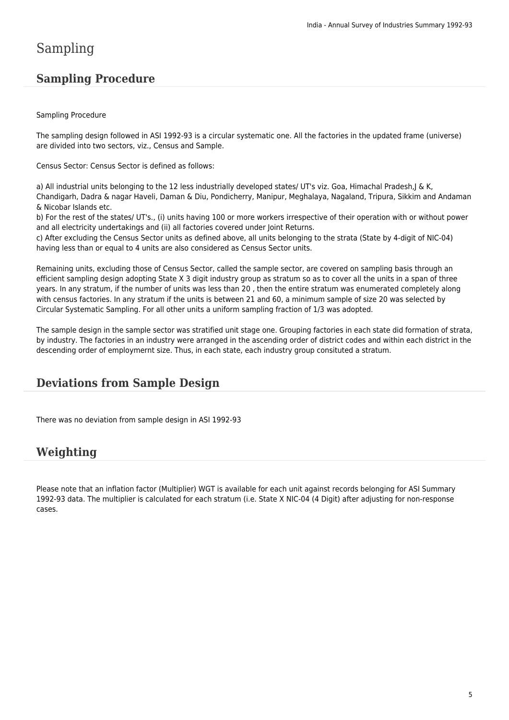### Sampling

### **Sampling Procedure**

#### Sampling Procedure

The sampling design followed in ASI 1992-93 is a circular systematic one. All the factories in the updated frame (universe) are divided into two sectors, viz., Census and Sample.

Census Sector: Census Sector is defined as follows:

a) All industrial units belonging to the 12 less industrially developed states/ UT's viz. Goa, Himachal Pradesh,J & K, Chandigarh, Dadra & nagar Haveli, Daman & Diu, Pondicherry, Manipur, Meghalaya, Nagaland, Tripura, Sikkim and Andaman & Nicobar Islands etc.

b) For the rest of the states/ UT's., (i) units having 100 or more workers irrespective of their operation with or without power and all electricity undertakings and (ii) all factories covered under Joint Returns.

c) After excluding the Census Sector units as defined above, all units belonging to the strata (State by 4-digit of NIC-04) having less than or equal to 4 units are also considered as Census Sector units.

Remaining units, excluding those of Census Sector, called the sample sector, are covered on sampling basis through an efficient sampling design adopting State X 3 digit industry group as stratum so as to cover all the units in a span of three years. In any stratum, if the number of units was less than 20 , then the entire stratum was enumerated completely along with census factories. In any stratum if the units is between 21 and 60, a minimum sample of size 20 was selected by Circular Systematic Sampling. For all other units a uniform sampling fraction of 1/3 was adopted.

The sample design in the sample sector was stratified unit stage one. Grouping factories in each state did formation of strata, by industry. The factories in an industry were arranged in the ascending order of district codes and within each district in the descending order of employmernt size. Thus, in each state, each industry group consituted a stratum.

### **Deviations from Sample Design**

There was no deviation from sample design in ASI 1992-93

### **Weighting**

Please note that an inflation factor (Multiplier) WGT is available for each unit against records belonging for ASI Summary 1992-93 data. The multiplier is calculated for each stratum (i.e. State X NIC-04 (4 Digit) after adjusting for non-response cases.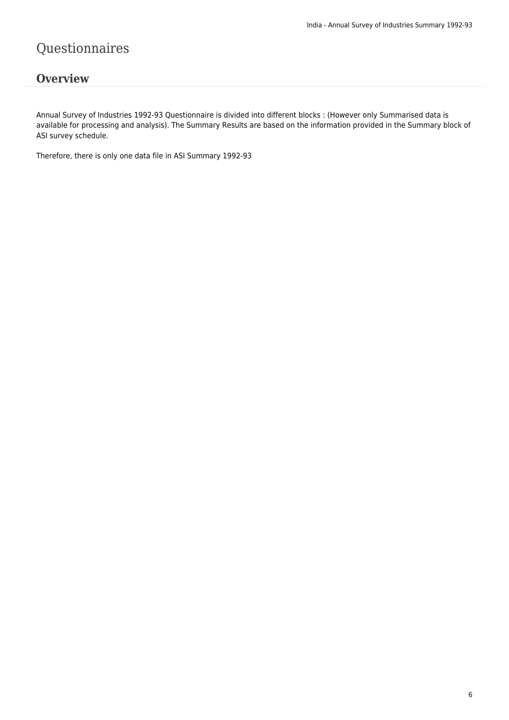## Questionnaires

### **Overview**

Annual Survey of Industries 1992-93 Questionnaire is divided into different blocks : (However only Summarised data is available for processing and analysis). The Summary Results are based on the information provided in the Summary block of ASI survey schedule.

Therefore, there is only one data file in ASI Summary 1992-93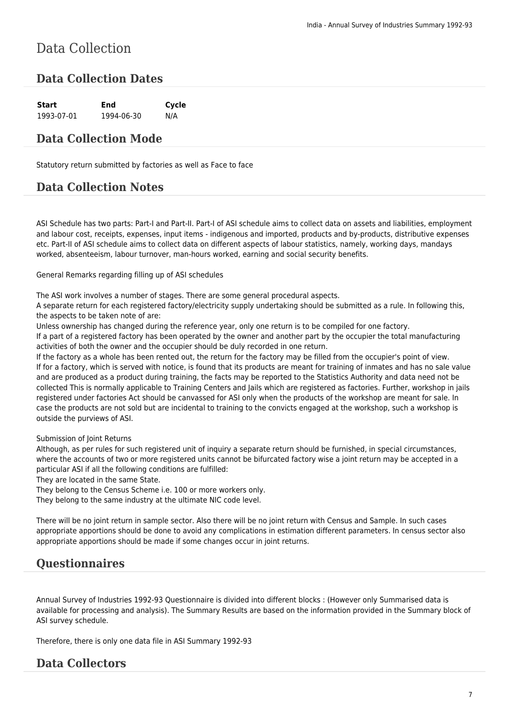## Data Collection

### **Data Collection Dates**

| Start      | End        | Cycle |
|------------|------------|-------|
| 1993-07-01 | 1994-06-30 | N/A   |

### **Data Collection Mode**

Statutory return submitted by factories as well as Face to face

### **Data Collection Notes**

ASI Schedule has two parts: Part-I and Part-II. Part-I of ASI schedule aims to collect data on assets and liabilities, employment and labour cost, receipts, expenses, input items - indigenous and imported, products and by-products, distributive expenses etc. Part-II of ASI schedule aims to collect data on different aspects of labour statistics, namely, working days, mandays worked, absenteeism, labour turnover, man-hours worked, earning and social security benefits.

General Remarks regarding filling up of ASI schedules

The ASI work involves a number of stages. There are some general procedural aspects.

A separate return for each registered factory/electricity supply undertaking should be submitted as a rule. In following this, the aspects to be taken note of are:

Unless ownership has changed during the reference year, only one return is to be compiled for one factory.

If a part of a registered factory has been operated by the owner and another part by the occupier the total manufacturing activities of both the owner and the occupier should be duly recorded in one return.

If the factory as a whole has been rented out, the return for the factory may be filled from the occupier's point of view. If for a factory, which is served with notice, is found that its products are meant for training of inmates and has no sale value and are produced as a product during training, the facts may be reported to the Statistics Authority and data need not be collected This is normally applicable to Training Centers and Jails which are registered as factories. Further, workshop in jails registered under factories Act should be canvassed for ASI only when the products of the workshop are meant for sale. In case the products are not sold but are incidental to training to the convicts engaged at the workshop, such a workshop is outside the purviews of ASI.

Submission of Joint Returns

Although, as per rules for such registered unit of inquiry a separate return should be furnished, in special circumstances, where the accounts of two or more registered units cannot be bifurcated factory wise a joint return may be accepted in a particular ASI if all the following conditions are fulfilled:

They are located in the same State.

They belong to the Census Scheme i.e. 100 or more workers only.

They belong to the same industry at the ultimate NIC code level.

There will be no joint return in sample sector. Also there will be no joint return with Census and Sample. In such cases appropriate apportions should be done to avoid any complications in estimation different parameters. In census sector also appropriate apportions should be made if some changes occur in joint returns.

### **Questionnaires**

Annual Survey of Industries 1992-93 Questionnaire is divided into different blocks : (However only Summarised data is available for processing and analysis). The Summary Results are based on the information provided in the Summary block of ASI survey schedule.

Therefore, there is only one data file in ASI Summary 1992-93

### **Data Collectors**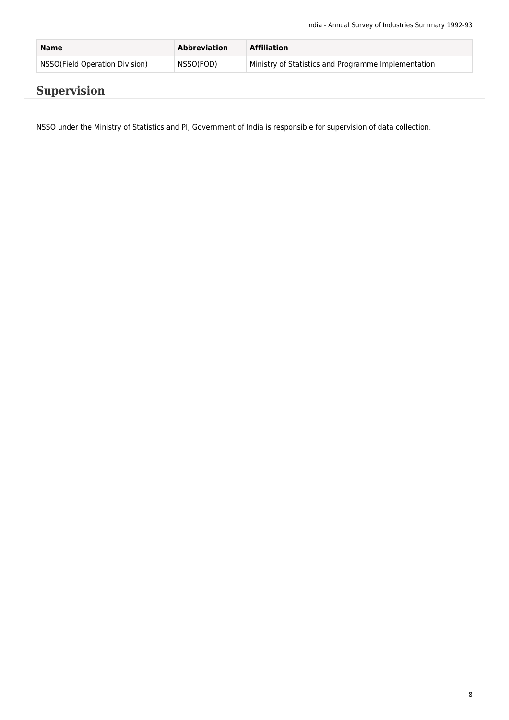| <b>Name</b>                    | <b>Abbreviation</b> | <b>Affiliation</b>                                  |
|--------------------------------|---------------------|-----------------------------------------------------|
| NSSO(Field Operation Division) | NSSO(FOD)           | Ministry of Statistics and Programme Implementation |

## **Supervision**

NSSO under the Ministry of Statistics and PI, Government of India is responsible for supervision of data collection.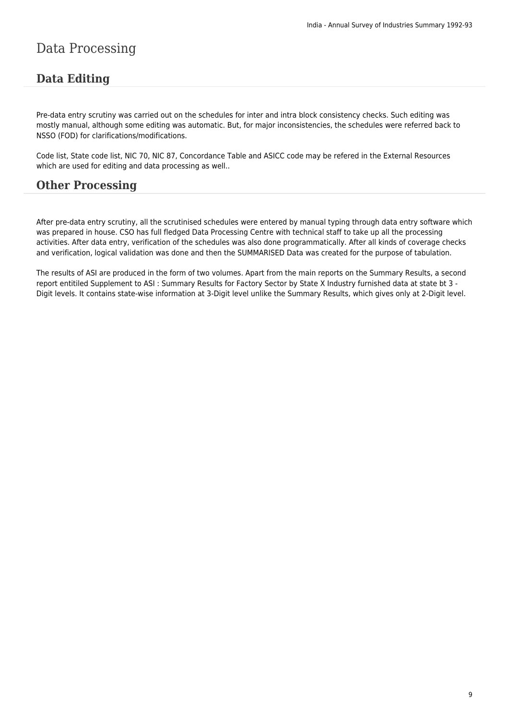## Data Processing

### **Data Editing**

Pre-data entry scrutiny was carried out on the schedules for inter and intra block consistency checks. Such editing was mostly manual, although some editing was automatic. But, for major inconsistencies, the schedules were referred back to NSSO (FOD) for clarifications/modifications.

Code list, State code list, NIC 70, NIC 87, Concordance Table and ASICC code may be refered in the External Resources which are used for editing and data processing as well..

### **Other Processing**

After pre-data entry scrutiny, all the scrutinised schedules were entered by manual typing through data entry software which was prepared in house. CSO has full fledged Data Processing Centre with technical staff to take up all the processing activities. After data entry, verification of the schedules was also done programmatically. After all kinds of coverage checks and verification, logical validation was done and then the SUMMARISED Data was created for the purpose of tabulation.

The results of ASI are produced in the form of two volumes. Apart from the main reports on the Summary Results, a second report entitiled Supplement to ASI : Summary Results for Factory Sector by State X Industry furnished data at state bt 3 - Digit levels. It contains state-wise information at 3-Digit level unlike the Summary Results, which gives only at 2-Digit level.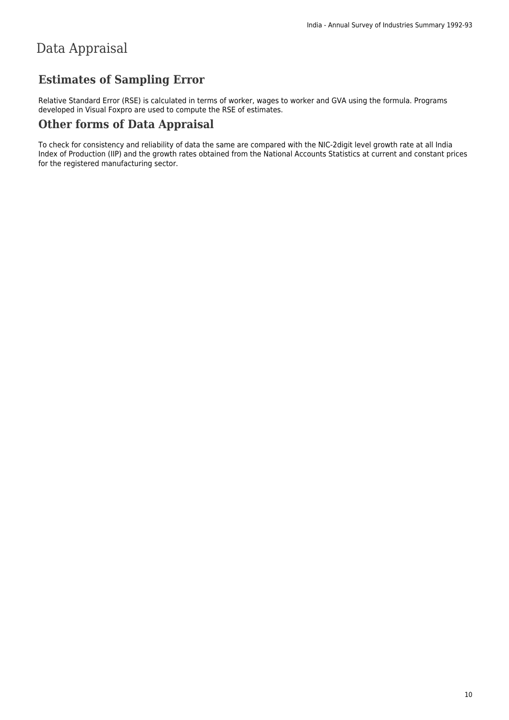## Data Appraisal

### **Estimates of Sampling Error**

Relative Standard Error (RSE) is calculated in terms of worker, wages to worker and GVA using the formula. Programs developed in Visual Foxpro are used to compute the RSE of estimates.

### **Other forms of Data Appraisal**

To check for consistency and reliability of data the same are compared with the NIC-2digit level growth rate at all India Index of Production (IIP) and the growth rates obtained from the National Accounts Statistics at current and constant prices for the registered manufacturing sector.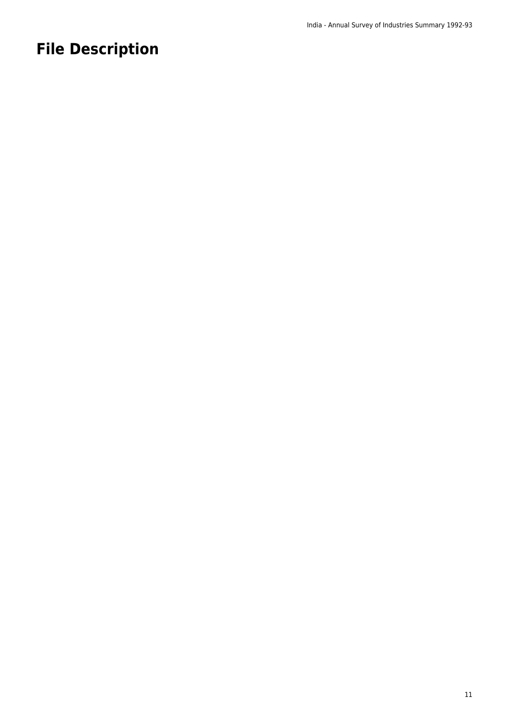## **File Description**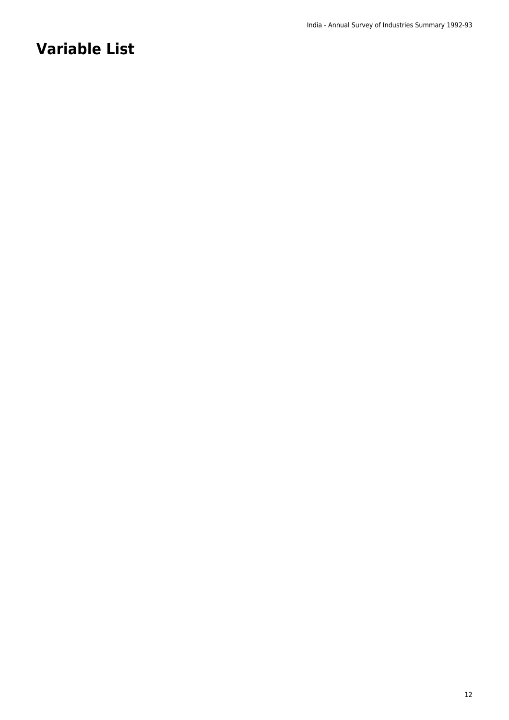## **Variable List**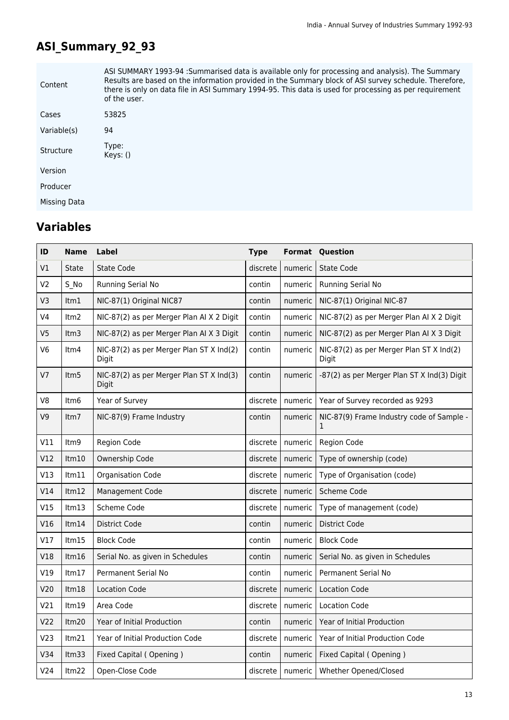## **ASI\_Summary\_92\_93**

| Content      | ASI SUMMARY 1993-94 :Summarised data is available only for processing and analysis). The Summary<br>Results are based on the information provided in the Summary block of ASI survey schedule. Therefore,<br>there is only on data file in ASI Summary 1994-95. This data is used for processing as per requirement<br>of the user. |
|--------------|-------------------------------------------------------------------------------------------------------------------------------------------------------------------------------------------------------------------------------------------------------------------------------------------------------------------------------------|
| Cases        | 53825                                                                                                                                                                                                                                                                                                                               |
| Variable(s)  | 94                                                                                                                                                                                                                                                                                                                                  |
| Structure    | Type:<br>Keys: ()                                                                                                                                                                                                                                                                                                                   |
| Version      |                                                                                                                                                                                                                                                                                                                                     |
| Producer     |                                                                                                                                                                                                                                                                                                                                     |
| Missing Data |                                                                                                                                                                                                                                                                                                                                     |
|              |                                                                                                                                                                                                                                                                                                                                     |

### **Variables**

| ID              | <b>Name</b>      | Label                                             | <b>Type</b> |         | <b>Format Question</b>                            |
|-----------------|------------------|---------------------------------------------------|-------------|---------|---------------------------------------------------|
| V1              | <b>State</b>     | <b>State Code</b>                                 | discrete    | numeric | <b>State Code</b>                                 |
| V <sub>2</sub>  | S No             | Running Serial No                                 | contin      | numeric | Running Serial No                                 |
| V3              | ltm1             | NIC-87(1) Original NIC87                          | contin      | numeric | NIC-87(1) Original NIC-87                         |
| V <sub>4</sub>  | ltm <sub>2</sub> | NIC-87(2) as per Merger Plan AI X 2 Digit         | contin      | numeric | NIC-87(2) as per Merger Plan AI X 2 Digit         |
| V <sub>5</sub>  | Itm <sub>3</sub> | NIC-87(2) as per Merger Plan AI X 3 Digit         | contin      | numeric | NIC-87(2) as per Merger Plan AI X 3 Digit         |
| V <sub>6</sub>  | Itm4             | NIC-87(2) as per Merger Plan ST X Ind(2)<br>Digit | contin      | numeric | NIC-87(2) as per Merger Plan ST X Ind(2)<br>Digit |
| V <sub>7</sub>  | Itm <sub>5</sub> | NIC-87(2) as per Merger Plan ST X Ind(3)<br>Digit | contin      | numeric | -87(2) as per Merger Plan ST X Ind(3) Digit       |
| V <sub>8</sub>  | Itm <sub>6</sub> | Year of Survey                                    | discrete    | numeric | Year of Survey recorded as 9293                   |
| V <sub>9</sub>  | ltm7             | NIC-87(9) Frame Industry                          | contin      | numeric | NIC-87(9) Frame Industry code of Sample -<br>1.   |
| V11             | Itm9             | Region Code                                       | discrete    | numeric | Region Code                                       |
| V12             | Itm10            | Ownership Code                                    | discrete    | numeric | Type of ownership (code)                          |
| V13             | Itm11            | Organisation Code                                 | discrete    | numeric | Type of Organisation (code)                       |
| V14             | ltm12            | Management Code                                   | discrete    | numeric | Scheme Code                                       |
| V15             | Itm13            | Scheme Code                                       | discrete    | numeric | Type of management (code)                         |
| V16             | ltm14            | <b>District Code</b>                              | contin      | numeric | <b>District Code</b>                              |
| V17             | Itm15            | <b>Block Code</b>                                 | contin      | numeric | <b>Block Code</b>                                 |
| V18             | ltm16            | Serial No. as given in Schedules                  | contin      | numeric | Serial No. as given in Schedules                  |
| V19             | ltm17            | Permanent Serial No                               | contin      | numeric | Permanent Serial No                               |
| V20             | ltm18            | <b>Location Code</b>                              | discrete    | numeric | <b>Location Code</b>                              |
| V <sub>21</sub> | ltm19            | Area Code                                         | discrete    | numeric | <b>Location Code</b>                              |
| V <sub>22</sub> | Itm20            | Year of Initial Production                        | contin      | numeric | Year of Initial Production                        |
| V <sub>23</sub> | Itm21            | Year of Initial Production Code                   | discrete    | numeric | Year of Initial Production Code                   |
| V34             | Itm33            | Fixed Capital (Opening)                           | contin      | numeric | <b>Fixed Capital (Opening)</b>                    |
| V24             | Itm22            | Open-Close Code                                   | discrete    | numeric | Whether Opened/Closed                             |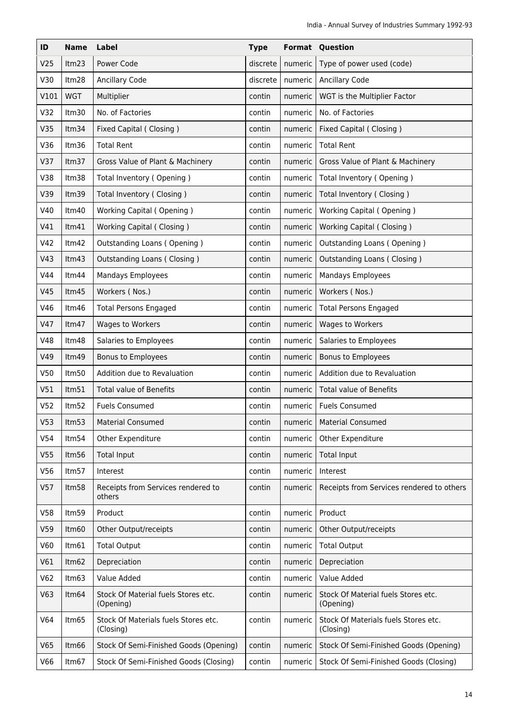| ID              | <b>Name</b> | Label                                             | <b>Type</b> |         | <b>Format Question</b>                            |
|-----------------|-------------|---------------------------------------------------|-------------|---------|---------------------------------------------------|
| V <sub>25</sub> | Itm23       | Power Code                                        | discrete    | numeric | Type of power used (code)                         |
| V30             | Itm28       | Ancillary Code                                    | discrete    | numeric | Ancillary Code                                    |
| V101            | <b>WGT</b>  | Multiplier                                        | contin      | numeric | WGT is the Multiplier Factor                      |
| V32             | Itm30       | No. of Factories                                  | contin      | numeric | No. of Factories                                  |
| V35             | Itm34       | Fixed Capital (Closing)                           | contin      | numeric | Fixed Capital (Closing)                           |
| V36             | Itm36       | <b>Total Rent</b>                                 | contin      | numeric | <b>Total Rent</b>                                 |
| V37             | Itm37       | Gross Value of Plant & Machinery                  | contin      | numeric | Gross Value of Plant & Machinery                  |
| V38             | Itm38       | Total Inventory (Opening)                         | contin      | numeric | Total Inventory (Opening)                         |
| V39             | Itm39       | Total Inventory (Closing)                         | contin      | numeric | Total Inventory (Closing)                         |
| V40             | Itm40       | Working Capital (Opening)                         | contin      | numeric | Working Capital (Opening)                         |
| V41             | ltm41       | <b>Working Capital ( Closing )</b>                | contin      | numeric | Working Capital (Closing)                         |
| V42             | Itm42       | Outstanding Loans (Opening)                       | contin      | numeric | Outstanding Loans (Opening)                       |
| V43             | Itm43       | Outstanding Loans (Closing)                       | contin      | numeric | Outstanding Loans (Closing)                       |
| V44             | Itm44       | Mandays Employees                                 | contin      | numeric | Mandays Employees                                 |
| V45             | Itm45       | Workers (Nos.)                                    | contin      | numeric | Workers (Nos.)                                    |
| V46             | Itm46       | <b>Total Persons Engaged</b>                      | contin      | numeric | <b>Total Persons Engaged</b>                      |
| V47             | Itm47       | <b>Wages to Workers</b>                           | contin      | numeric | Wages to Workers                                  |
| V48             | Itm48       | Salaries to Employees                             | contin      | numeric | Salaries to Employees                             |
| V49             | Itm49       | Bonus to Employees                                | contin      | numeric | Bonus to Employees                                |
| V50             | Itm50       | Addition due to Revaluation                       | contin      | numeric | Addition due to Revaluation                       |
| V51             | ltm51       | <b>Total value of Benefits</b>                    | contin      | numeric | <b>Total value of Benefits</b>                    |
| V <sub>52</sub> | Itm52       | <b>Fuels Consumed</b>                             | contin      | numeric | <b>Fuels Consumed</b>                             |
| V <sub>53</sub> | Itm53       | <b>Material Consumed</b>                          | contin      |         | numeric   Material Consumed                       |
| V <sub>54</sub> | Itm54       | Other Expenditure                                 | contin      | numeric | Other Expenditure                                 |
| V <sub>55</sub> | Itm56       | <b>Total Input</b>                                | contin      | numeric | <b>Total Input</b>                                |
| V56             | Itm57       | Interest                                          | contin      | numeric | Interest                                          |
| V <sub>57</sub> | Itm58       | Receipts from Services rendered to<br>others      | contin      | numeric | Receipts from Services rendered to others         |
| V58             | Itm59       | Product                                           | contin      | numeric | Product                                           |
| V59             | Itm60       | Other Output/receipts                             | contin      | numeric | Other Output/receipts                             |
| V60             | Itm61       | <b>Total Output</b>                               | contin      | numeric | <b>Total Output</b>                               |
| V61             | Itm62       | Depreciation                                      | contin      | numeric | Depreciation                                      |
| V62             | Itm63       | Value Added                                       | contin      | numeric | Value Added                                       |
| V63             | Itm64       | Stock Of Material fuels Stores etc.<br>(Opening)  | contin      | numeric | Stock Of Material fuels Stores etc.<br>(Opening)  |
| V64             | Itm65       | Stock Of Materials fuels Stores etc.<br>(Closing) | contin      | numeric | Stock Of Materials fuels Stores etc.<br>(Closing) |
| V65             | Itm66       | Stock Of Semi-Finished Goods (Opening)            | contin      | numeric | Stock Of Semi-Finished Goods (Opening)            |
| V66             | Itm67       | Stock Of Semi-Finished Goods (Closing)            | contin      | numeric | Stock Of Semi-Finished Goods (Closing)            |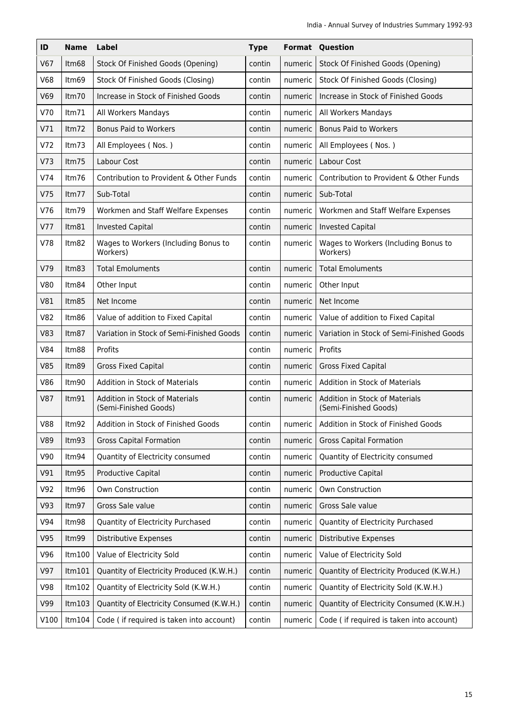| ID              | <b>Name</b> | Label                                                          | <b>Type</b> |         | <b>Format Question</b>                                  |
|-----------------|-------------|----------------------------------------------------------------|-------------|---------|---------------------------------------------------------|
| V67             | Itm68       | Stock Of Finished Goods (Opening)                              | contin      | numeric | Stock Of Finished Goods (Opening)                       |
| <b>V68</b>      | Itm69       | Stock Of Finished Goods (Closing)                              | contin      | numeric | Stock Of Finished Goods (Closing)                       |
| V69             | Itm70       | Increase in Stock of Finished Goods                            | contin      | numeric | Increase in Stock of Finished Goods                     |
| V70             | ltm71       | All Workers Mandays                                            | contin      | numeric | All Workers Mandays                                     |
| V71             | Itm72       | <b>Bonus Paid to Workers</b>                                   | contin      | numeric | <b>Bonus Paid to Workers</b>                            |
| V72             | Itm73       | All Employees (Nos.)                                           | contin      | numeric | All Employees (Nos.)                                    |
| V <sub>73</sub> | Itm75       | Labour Cost                                                    | contin      | numeric | Labour Cost                                             |
| V74             | Itm76       | Contribution to Provident & Other Funds                        | contin      | numeric | Contribution to Provident & Other Funds                 |
| V75             | Itm77       | Sub-Total                                                      | contin      | numeric | Sub-Total                                               |
| V76             | Itm79       | Workmen and Staff Welfare Expenses                             | contin      | numeric | Workmen and Staff Welfare Expenses                      |
| <b>V77</b>      | Itm81       | <b>Invested Capital</b>                                        | contin      | numeric | <b>Invested Capital</b>                                 |
| V78             | Itm82       | Wages to Workers (Including Bonus to<br>Workers)               | contin      | numeric | Wages to Workers (Including Bonus to<br>Workers)        |
| V79             | Itm83       | <b>Total Emoluments</b>                                        | contin      | numeric | <b>Total Emoluments</b>                                 |
| V80             | Itm84       | Other Input                                                    | contin      | numeric | Other Input                                             |
| V81             | Itm85       | Net Income                                                     | contin      | numeric | Net Income                                              |
| V82             | Itm86       | Value of addition to Fixed Capital                             | contin      | numeric | Value of addition to Fixed Capital                      |
| V83             | Itm87       | Variation in Stock of Semi-Finished Goods                      | contin      | numeric | Variation in Stock of Semi-Finished Goods               |
| V84             | Itm88       | Profits                                                        | contin      | numeric | Profits                                                 |
| <b>V85</b>      | Itm89       | <b>Gross Fixed Capital</b>                                     | contin      | numeric | <b>Gross Fixed Capital</b>                              |
| V86             | Itm90       | Addition in Stock of Materials                                 | contin      | numeric | Addition in Stock of Materials                          |
| <b>V87</b>      | Itm91       | <b>Addition in Stock of Materials</b><br>(Semi-Finished Goods) | contin      | numeric | Addition in Stock of Materials<br>(Semi-Finished Goods) |
| <b>V88</b>      | Itm92       | Addition in Stock of Finished Goods                            | contin      | numeric | Addition in Stock of Finished Goods                     |
| V89             | Itm93       | <b>Gross Capital Formation</b>                                 | contin      | numeric | <b>Gross Capital Formation</b>                          |
| V90             | Itm94       | Quantity of Electricity consumed                               | contin      | numeric | Quantity of Electricity consumed                        |
| V91             | Itm95       | <b>Productive Capital</b>                                      | contin      | numeric | Productive Capital                                      |
| V92             | Itm96       | Own Construction                                               | contin      | numeric | Own Construction                                        |
| V93             | Itm97       | Gross Sale value                                               | contin      | numeric | Gross Sale value                                        |
| V94             | Itm98       | Quantity of Electricity Purchased                              | contin      | numeric | Quantity of Electricity Purchased                       |
| V95             | Itm99       | Distributive Expenses                                          | contin      | numeric | Distributive Expenses                                   |
| V96             | Itm100      | Value of Electricity Sold                                      | contin      | numeric | Value of Electricity Sold                               |
| V97             | Itm101      | Quantity of Electricity Produced (K.W.H.)                      | contin      | numeric | Quantity of Electricity Produced (K.W.H.)               |
| V98             | Itm102      | Quantity of Electricity Sold (K.W.H.)                          | contin      | numeric | Quantity of Electricity Sold (K.W.H.)                   |
| V99             | Itm103      | Quantity of Electricity Consumed (K.W.H.)                      | contin      | numeric | Quantity of Electricity Consumed (K.W.H.)               |
| V100            | Itm104      | Code ( if required is taken into account)                      | contin      | numeric | Code ( if required is taken into account)               |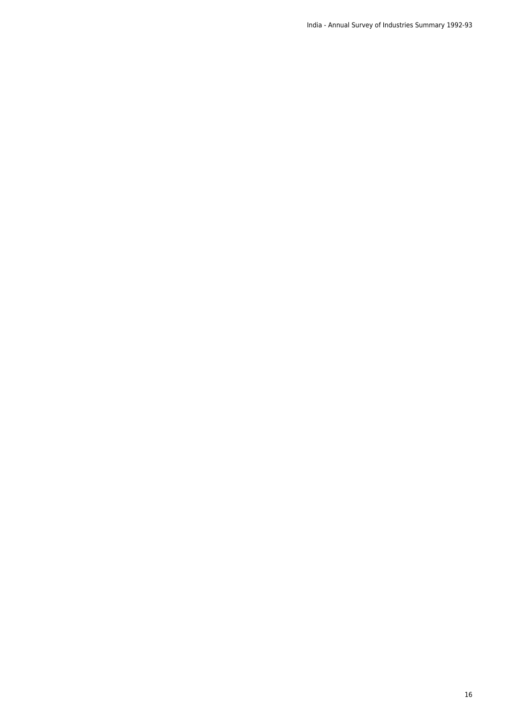India - Annual Survey of Industries Summary 1992-93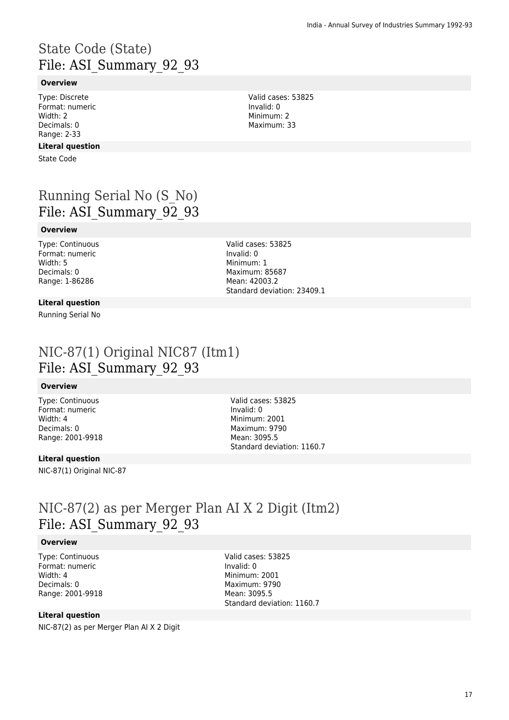## State Code (State) File: ASI\_Summary\_92\_93

#### **Overview**

Type: Discrete Format: numeric Width: 2 Decimals: 0 Range: 2-33

#### **Literal question**

State Code

### Running Serial No (S\_No) File: ASI\_Summary\_92\_93

#### **Overview**

Type: Continuous Format: numeric Width: 5 Decimals: 0 Range: 1-86286

#### **Literal question**

Running Serial No

#### Invalid: 0 Minimum: 1 Maximum: 85687 Mean: 42003.2 Standard deviation: 23409.1

Valid cases: 53825

Valid cases: 53825

Invalid: 0 Minimum: 2 Maximum: 33

### NIC-87(1) Original NIC87 (Itm1) File: ASI\_Summary\_92\_93

#### **Overview**

Type: Continuous Format: numeric Width: 4 Decimals: 0 Range: 2001-9918

Valid cases: 53825 Invalid: 0 Minimum: 2001 Maximum: 9790 Mean: 3095.5 Standard deviation: 1160.7

#### **Literal question**

NIC-87(1) Original NIC-87

### NIC-87(2) as per Merger Plan AI X 2 Digit (Itm2) File: ASI\_Summary\_92\_93

#### **Overview**

Type: Continuous Format: numeric Width: 4 Decimals: 0 Range: 2001-9918

#### **Literal question**

NIC-87(2) as per Merger Plan AI X 2 Digit

Valid cases: 53825 Invalid: 0 Minimum: 2001 Maximum: 9790 Mean: 3095.5 Standard deviation: 1160.7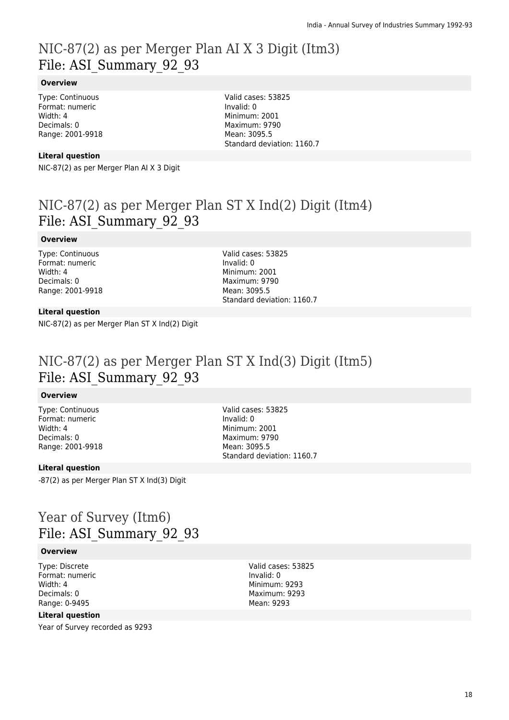### NIC-87(2) as per Merger Plan AI X 3 Digit (Itm3) File: ASI\_Summary\_92\_93

#### **Overview**

Type: Continuous Format: numeric Width: 4 Decimals: 0 Range: 2001-9918 Valid cases: 53825 Invalid: 0 Minimum: 2001 Maximum: 9790 Mean: 3095.5 Standard deviation: 1160.7

#### **Literal question**

NIC-87(2) as per Merger Plan AI X 3 Digit

## NIC-87(2) as per Merger Plan ST X Ind(2) Digit (Itm4) File: ASI\_Summary\_92\_93

#### **Overview**

Type: Continuous Format: numeric Width: 4 Decimals: 0 Range: 2001-9918 Valid cases: 53825 Invalid: 0 Minimum: 2001 Maximum: 9790 Mean: 3095.5 Standard deviation: 1160.7

#### **Literal question**

NIC-87(2) as per Merger Plan ST X Ind(2) Digit

### NIC-87(2) as per Merger Plan ST X Ind(3) Digit (Itm5) File: ASI\_Summary\_92\_93

#### **Overview**

Type: Continuous Format: numeric Width: 4 Decimals: 0 Range: 2001-9918 Valid cases: 53825 Invalid: 0 Minimum: 2001 Maximum: 9790 Mean: 3095.5 Standard deviation: 1160.7

#### **Literal question**

-87(2) as per Merger Plan ST X Ind(3) Digit

### Year of Survey (Itm6) File: ASI\_Summary\_92\_93

#### **Overview**

Type: Discrete Format: numeric Width: 4 Decimals: 0 Range: 0-9495

#### **Literal question**

Year of Survey recorded as 9293

Valid cases: 53825 Invalid: 0 Minimum: 9293 Maximum: 9293 Mean: 9293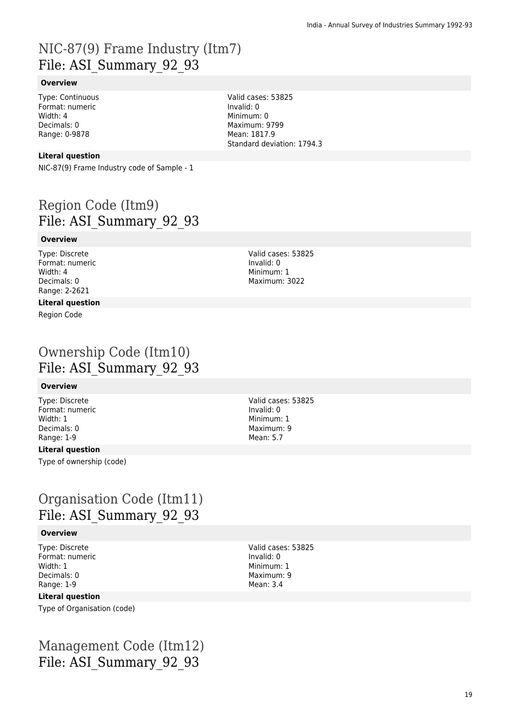### NIC-87(9) Frame Industry (Itm7) File: ASI\_Summary\_92\_93

#### **Overview**

Type: Continuous Format: numeric Width: 4 Decimals: 0 Range: 0-9878

#### **Literal question**

NIC-87(9) Frame Industry code of Sample - 1

### Region Code (Itm9) File: ASI\_Summary\_92\_93

#### **Overview**

Type: Discrete Format: numeric Width: 4 Decimals: 0 Range: 2-2621

#### **Literal question**

Region Code

### Ownership Code (Itm10) File: ASI\_Summary\_92\_93

#### **Overview**

Type: Discrete Format: numeric Width: 1 Decimals: 0 Range: 1-9

#### **Literal question**

Type of ownership (code)

#### Valid cases: 53825 Invalid: 0 Minimum: 1 Maximum: 9 Mean: 5.7

Valid cases: 53825

Invalid: 0 Minimum: 1 Maximum: 3022

## Organisation Code (Itm11) File: ASI\_Summary\_92\_93

#### **Overview**

Type: Discrete Format: numeric Width: 1 Decimals: 0 Range: 1-9

#### **Literal question**

Type of Organisation (code)

### Management Code (Itm12) File: ASI\_Summary\_92\_93

Valid cases: 53825 Invalid: 0 Minimum: 1 Maximum: 9 Mean: 3.4

Valid cases: 53825 Invalid: 0 Minimum: 0 Maximum: 9799 Mean: 1817.9 Standard deviation: 1794.3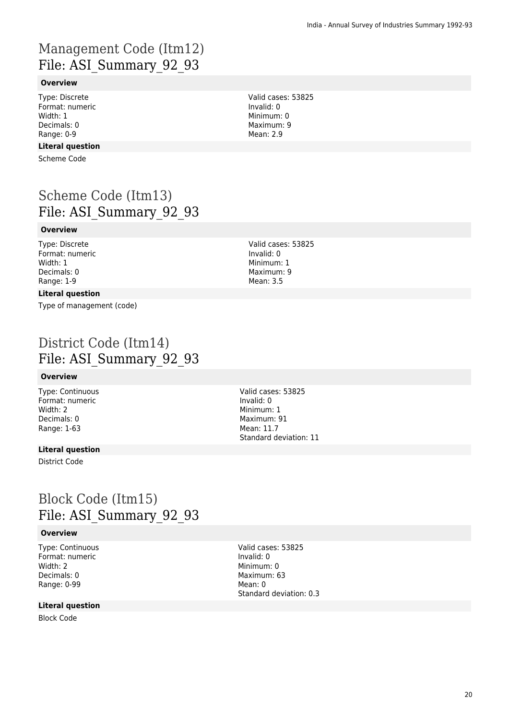## Management Code (Itm12) File: ASI\_Summary\_92\_93

#### **Overview**

Type: Discrete Format: numeric Width: 1 Decimals: 0 Range: 0-9

#### **Literal question**

Scheme Code

### Scheme Code (Itm13) File: ASI\_Summary\_92\_93

#### **Overview**

Type: Discrete Format: numeric Width: 1 Decimals: 0 Range: 1-9

#### **Literal question**

Type of management (code)

### District Code (Itm14) File: ASI\_Summary\_92\_93

#### **Overview**

Type: Continuous Format: numeric Width: 2 Decimals: 0 Range: 1-63

### **Literal question**

District Code

## Block Code (Itm15) File: ASI\_Summary\_92\_93

#### **Overview**

Type: Continuous Format: numeric Width: 2 Decimals: 0 Range: 0-99

#### **Literal question**

Block Code

Valid cases: 53825 Invalid: 0 Minimum: 0 Maximum: 9 Mean: 2.9

Valid cases: 53825 Invalid: 0 Minimum: 1 Maximum: 9 Mean: 3.5

Valid cases: 53825 Invalid: 0 Minimum: 1 Maximum: 91 Mean: 11.7 Standard deviation: 11

Valid cases: 53825 Invalid: 0 Minimum: 0 Maximum: 63 Mean: 0 Standard deviation: 0.3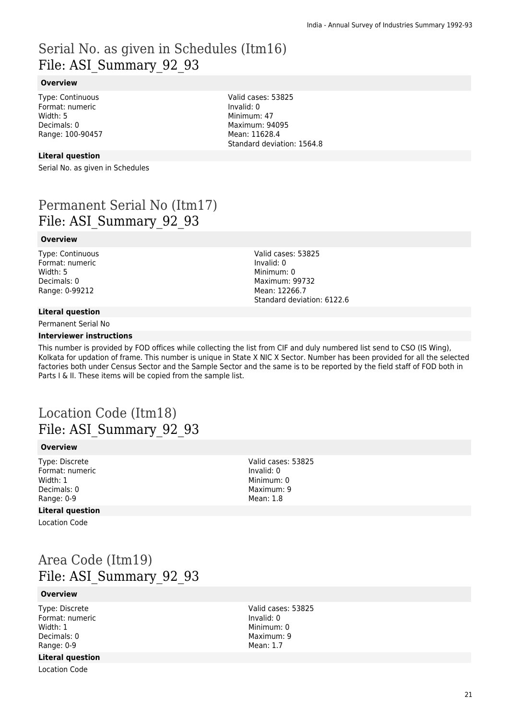### Serial No. as given in Schedules (Itm16) File: ASI\_Summary\_92\_93

#### **Overview**

Type: Continuous Format: numeric Width: 5 Decimals: 0 Range: 100-90457

#### **Literal question**

Serial No. as given in Schedules

## Permanent Serial No (Itm17) File: ASI\_Summary\_92\_93

#### **Overview**

Type: Continuous Format: numeric Width: 5 Decimals: 0 Range: 0-99212

#### **Literal question**

Permanent Serial No

#### **Interviewer instructions**

Valid cases: 53825 Invalid: 0 Minimum: 0 Maximum: 99732 Mean: 12266.7 Standard deviation: 6122.6

This number is provided by FOD offices while collecting the list from CIF and duly numbered list send to CSO (IS Wing), Kolkata for updation of frame. This number is unique in State X NIC X Sector. Number has been provided for all the selected factories both under Census Sector and the Sample Sector and the same is to be reported by the field staff of FOD both in Parts I & II. These items will be copied from the sample list.

Valid cases: 53825

Standard deviation: 1564.8

Invalid: 0 Minimum: 47 Maximum: 94095 Mean: 11628.4

### Location Code (Itm18) File: ASI\_Summary\_92\_93

#### **Overview**

Type: Discrete Format: numeric Width: 1 Decimals: 0 Range: 0-9

### **Literal question**

Location Code

### Area Code (Itm19) File: ASI\_Summary\_92\_93

#### **Overview**

Type: Discrete Format: numeric Width: 1 Decimals: 0 Range: 0-9

Valid cases: 53825 Invalid: 0 Minimum: 0 Maximum: 9 Mean: 1.7

Valid cases: 53825

Invalid: 0 Minimum: 0 Maximum: 9 Mean: 1.8

### **Literal question**

Location Code

21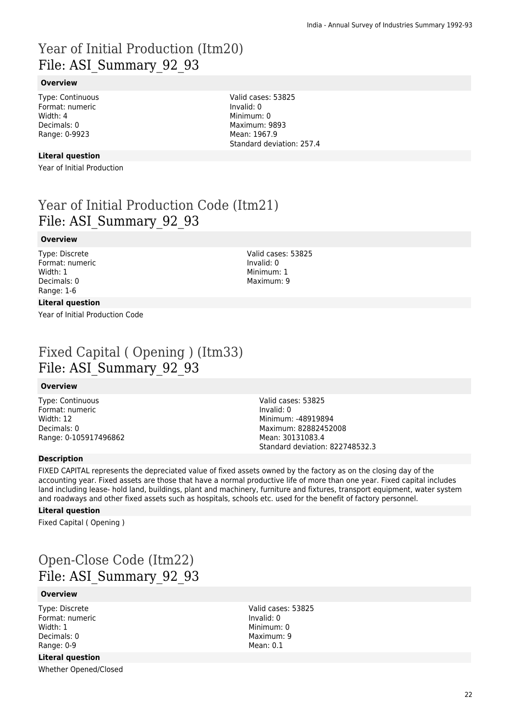### Year of Initial Production (Itm20) File: ASI\_Summary\_92\_93

#### **Overview**

Type: Continuous Format: numeric Width: 4 Decimals: 0 Range: 0-9923

Valid cases: 53825 Invalid: 0 Minimum: 0 Maximum: 9893 Mean: 1967.9 Standard deviation: 257.4

#### **Literal question**

Year of Initial Production

## Year of Initial Production Code (Itm21) File: ASI\_Summary\_92\_93

#### **Overview**

Type: Discrete Format: numeric Width: 1 Decimals: 0 Range: 1-6

#### **Literal question**

Year of Initial Production Code

## Fixed Capital ( Opening ) (Itm33) File: ASI\_Summary\_92\_93

#### **Overview**

Type: Continuous Format: numeric Width: 12 Decimals: 0 Range: 0-105917496862

Valid cases: 53825 Invalid: 0 Minimum: -48919894 Maximum: 82882452008 Mean: 30131083.4 Standard deviation: 822748532.3

#### **Description**

FIXED CAPITAL represents the depreciated value of fixed assets owned by the factory as on the closing day of the accounting year. Fixed assets are those that have a normal productive life of more than one year. Fixed capital includes land including lease- hold land, buildings, plant and machinery, furniture and fixtures, transport equipment, water system and roadways and other fixed assets such as hospitals, schools etc. used for the benefit of factory personnel.

#### **Literal question**

Fixed Capital ( Opening )

## Open-Close Code (Itm22) File: ASI\_Summary\_92\_93

#### **Overview**

Type: Discrete Format: numeric Width: 1 Decimals: 0 Range: 0-9

Valid cases: 53825 Invalid: 0 Minimum: 0 Maximum: 9 Mean: 0.1

**Literal question** Whether Opened/Closed Valid cases: 53825 Invalid: 0 Minimum: 1 Maximum: 9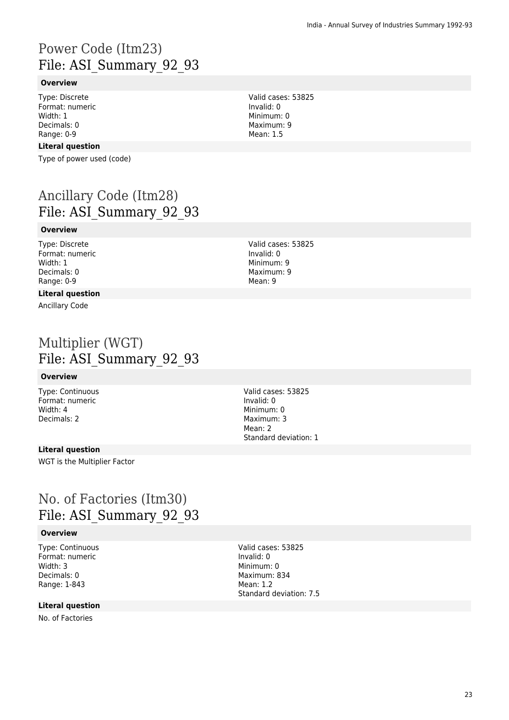## Power Code (Itm23) File: ASI\_Summary\_92\_93

### **Overview**

Type: Discrete Format: numeric Width: 1 Decimals: 0 Range: 0-9

#### **Literal question**

Type of power used (code)

## Ancillary Code (Itm28) File: ASI\_Summary\_92\_93

#### **Overview**

Type: Discrete Format: numeric Width: 1 Decimals: 0 Range: 0-9

#### **Literal question**

Ancillary Code

## Multiplier (WGT) File: ASI\_Summary\_92\_93

#### **Overview**

Type: Continuous Format: numeric Width: 4 Decimals: 2

Valid cases: 53825 Invalid: 0 Minimum: 0 Maximum: 3 Mean: 2 Standard deviation: 1

#### **Literal question**

WGT is the Multiplier Factor

## No. of Factories (Itm30) File: ASI\_Summary\_92\_93

#### **Overview**

Type: Continuous Format: numeric Width: 3 Decimals: 0 Range: 1-843

Valid cases: 53825 Invalid: 0 Minimum: 0 Maximum: 834 Mean: 1.2 Standard deviation: 7.5

#### **Literal question**

No. of Factories

Valid cases: 53825 Invalid: 0 Minimum: 0 Maximum: 9 Mean: 1.5

Valid cases: 53825 Invalid: 0 Minimum: 9 Maximum: 9 Mean: 9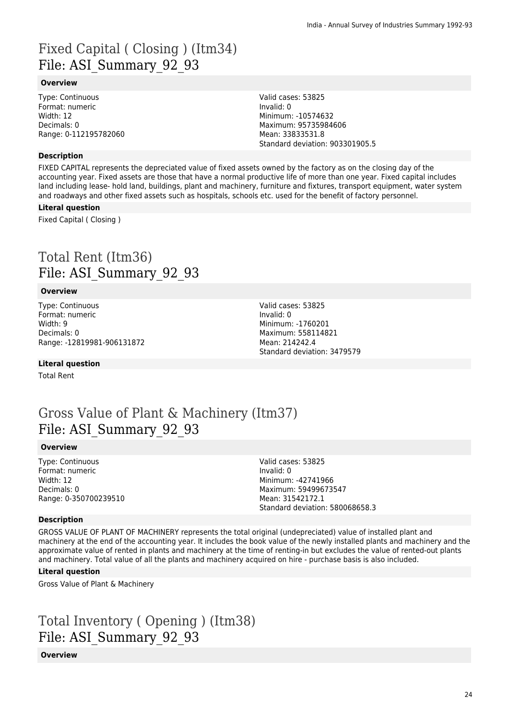## Fixed Capital ( Closing ) (Itm34) File: ASI\_Summary\_92\_93

#### **Overview**

Type: Continuous Format: numeric Width: 12 Decimals: 0 Range: 0-112195782060

#### **Description**

FIXED CAPITAL represents the depreciated value of fixed assets owned by the factory as on the closing day of the accounting year. Fixed assets are those that have a normal productive life of more than one year. Fixed capital includes land including lease- hold land, buildings, plant and machinery, furniture and fixtures, transport equipment, water system and roadways and other fixed assets such as hospitals, schools etc. used for the benefit of factory personnel.

Valid cases: 53825

Minimum: -10574632 Maximum: 95735984606 Mean: 33833531.8

Standard deviation: 903301905.5

Invalid: 0

#### **Literal question**

Fixed Capital ( Closing )

### Total Rent (Itm36) File: ASI\_Summary\_92\_93

#### **Overview**

Type: Continuous Format: numeric Width: 9 Decimals: 0 Range: -12819981-906131872

Valid cases: 53825 Invalid: 0 Minimum: -1760201 Maximum: 558114821 Mean: 214242.4 Standard deviation: 3479579

#### **Literal question**

Total Rent

### Gross Value of Plant & Machinery (Itm37) File: ASI\_Summary\_92\_93

#### **Overview**

Type: Continuous Format: numeric Width: 12 Decimals: 0 Range: 0-350700239510

Valid cases: 53825 Invalid: 0 Minimum: -42741966 Maximum: 59499673547 Mean: 31542172.1 Standard deviation: 580068658.3

#### **Description**

GROSS VALUE OF PLANT OF MACHINERY represents the total original (undepreciated) value of installed plant and machinery at the end of the accounting year. It includes the book value of the newly installed plants and machinery and the approximate value of rented in plants and machinery at the time of renting-in but excludes the value of rented-out plants and machinery. Total value of all the plants and machinery acquired on hire - purchase basis is also included.

#### **Literal question**

Gross Value of Plant & Machinery

Total Inventory ( Opening ) (Itm38) File: ASI\_Summary\_92\_93

#### **Overview**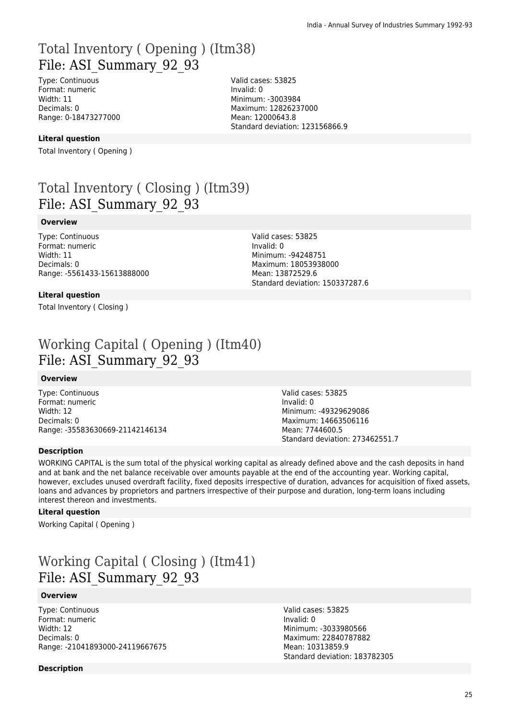### Total Inventory ( Opening ) (Itm38) File: ASI\_Summary\_92\_93

Type: Continuous Format: numeric Width: 11 Decimals: 0 Range: 0-18473277000 Valid cases: 53825 Invalid: 0 Minimum: -3003984 Maximum: 12826237000 Mean: 12000643.8 Standard deviation: 123156866.9

#### **Literal question**

Total Inventory ( Opening )

### Total Inventory ( Closing ) (Itm39) File: ASI\_Summary\_92\_93

#### **Overview**

Type: Continuous Format: numeric Width: 11 Decimals: 0 Range: -5561433-15613888000

#### **Literal question**

Total Inventory ( Closing )

Valid cases: 53825 Invalid: 0 Minimum: -94248751 Maximum: 18053938000 Mean: 13872529.6 Standard deviation: 150337287.6

## Working Capital ( Opening ) (Itm40) File: ASI\_Summary\_92\_93

#### **Overview**

Type: Continuous Format: numeric Width: 12 Decimals: 0 Range: -35583630669-21142146134 Valid cases: 53825 Invalid: 0 Minimum: -49329629086 Maximum: 14663506116 Mean: 7744600.5 Standard deviation: 273462551.7

#### **Description**

WORKING CAPITAL is the sum total of the physical working capital as already defined above and the cash deposits in hand and at bank and the net balance receivable over amounts payable at the end of the accounting year. Working capital, however, excludes unused overdraft facility, fixed deposits irrespective of duration, advances for acquisition of fixed assets, loans and advances by proprietors and partners irrespective of their purpose and duration, long-term loans including interest thereon and investments.

#### **Literal question**

Working Capital ( Opening )

## Working Capital ( Closing ) (Itm41) File: ASI\_Summary\_92\_93

#### **Overview**

Type: Continuous Format: numeric Width: 12 Decimals: 0 Range: -21041893000-24119667675

#### **Description**

Valid cases: 53825 Invalid: 0 Minimum: -3033980566 Maximum: 22840787882 Mean: 10313859.9 Standard deviation: 183782305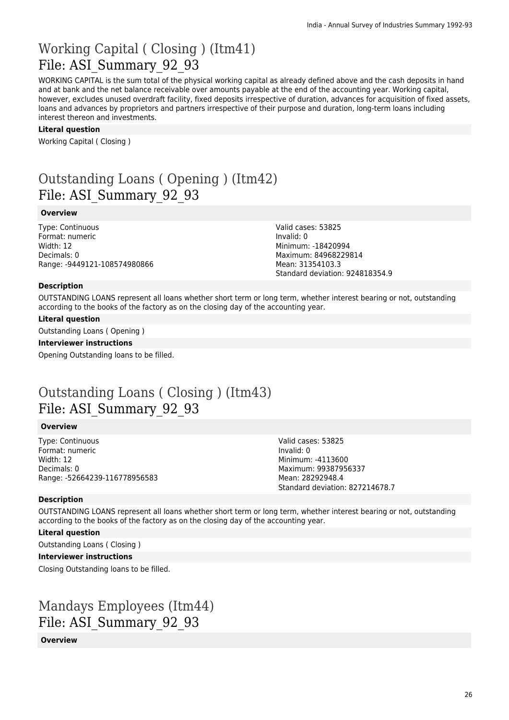### Working Capital ( Closing ) (Itm41) File: ASI\_Summary\_92\_93

WORKING CAPITAL is the sum total of the physical working capital as already defined above and the cash deposits in hand and at bank and the net balance receivable over amounts payable at the end of the accounting year. Working capital, however, excludes unused overdraft facility, fixed deposits irrespective of duration, advances for acquisition of fixed assets, loans and advances by proprietors and partners irrespective of their purpose and duration, long-term loans including interest thereon and investments.

#### **Literal question**

Working Capital ( Closing )

## Outstanding Loans ( Opening ) (Itm42) File: ASI\_Summary\_92\_93

#### **Overview**

Type: Continuous Format: numeric Width: 12 Decimals: 0 Range: -9449121-108574980866

Valid cases: 53825 Invalid: 0 Minimum: -18420994 Maximum: 84968229814 Mean: 31354103.3 Standard deviation: 924818354.9

#### **Description**

OUTSTANDING LOANS represent all loans whether short term or long term, whether interest bearing or not, outstanding according to the books of the factory as on the closing day of the accounting year.

#### **Literal question**

Outstanding Loans ( Opening )

#### **Interviewer instructions**

Opening Outstanding loans to be filled.

### Outstanding Loans ( Closing ) (Itm43) File: ASI\_Summary\_92\_93

#### **Overview**

Type: Continuous Format: numeric Width: 12 Decimals: 0 Range: -52664239-116778956583 Valid cases: 53825 Invalid: 0 Minimum: -4113600 Maximum: 99387956337 Mean: 28292948.4 Standard deviation: 827214678.7

#### **Description**

OUTSTANDING LOANS represent all loans whether short term or long term, whether interest bearing or not, outstanding according to the books of the factory as on the closing day of the accounting year.

#### **Literal question**

Outstanding Loans ( Closing )

#### **Interviewer instructions**

Closing Outstanding loans to be filled.

## Mandays Employees (Itm44) File: ASI\_Summary\_92\_93

#### **Overview**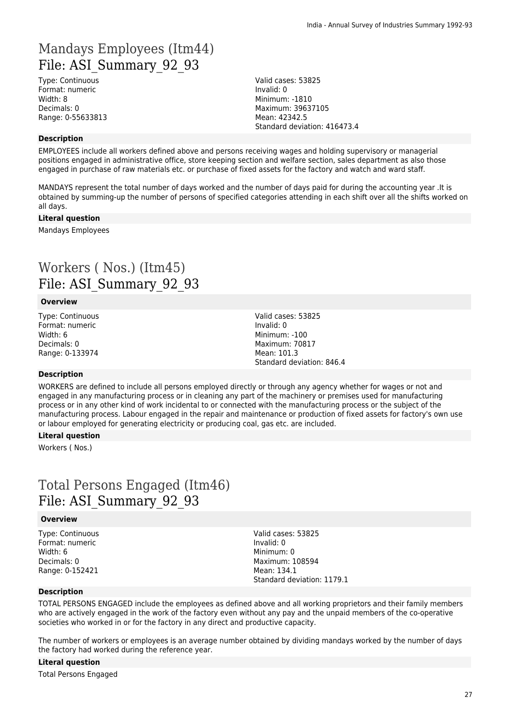## Mandays Employees (Itm44) File: ASI\_Summary\_92\_93

Type: Continuous Format: numeric Width: 8 Decimals: 0 Range: 0-55633813 Valid cases: 53825 Invalid: 0 Minimum: -1810 Maximum: 39637105 Mean: 42342.5 Standard deviation: 416473.4

#### **Description**

EMPLOYEES include all workers defined above and persons receiving wages and holding supervisory or managerial positions engaged in administrative office, store keeping section and welfare section, sales department as also those engaged in purchase of raw materials etc. or purchase of fixed assets for the factory and watch and ward staff.

MANDAYS represent the total number of days worked and the number of days paid for during the accounting year .It is obtained by summing-up the number of persons of specified categories attending in each shift over all the shifts worked on all days.

#### **Literal question**

Mandays Employees

### Workers ( Nos.) (Itm45) File: ASI\_Summary\_92\_93

#### **Overview**

Type: Continuous Format: numeric Width: 6 Decimals: 0 Range: 0-133974

Valid cases: 53825 Invalid: 0 Minimum: -100 Maximum: 70817 Mean: 101.3 Standard deviation: 846.4

#### **Description**

WORKERS are defined to include all persons employed directly or through any agency whether for wages or not and engaged in any manufacturing process or in cleaning any part of the machinery or premises used for manufacturing process or in any other kind of work incidental to or connected with the manufacturing process or the subject of the manufacturing process. Labour engaged in the repair and maintenance or production of fixed assets for factory's own use or labour employed for generating electricity or producing coal, gas etc. are included.

#### **Literal question**

Workers ( Nos.)

### Total Persons Engaged (Itm46) File: ASI\_Summary\_92\_93

#### **Overview**

Type: Continuous Format: numeric Width: 6 Decimals: 0 Range: 0-152421

Valid cases: 53825 Invalid: 0 Minimum: 0 Maximum: 108594 Mean: 134.1 Standard deviation: 1179.1

#### **Description**

TOTAL PERSONS ENGAGED include the employees as defined above and all working proprietors and their family members who are actively engaged in the work of the factory even without any pay and the unpaid members of the co-operative societies who worked in or for the factory in any direct and productive capacity.

The number of workers or employees is an average number obtained by dividing mandays worked by the number of days the factory had worked during the reference year.

#### **Literal question**

Total Persons Engaged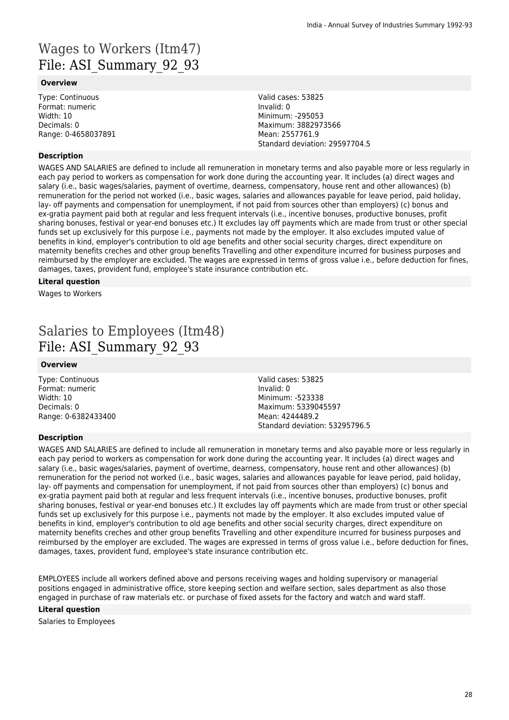## Wages to Workers (Itm47) File: ASI\_Summary\_92\_93

#### **Overview**

Type: Continuous Format: numeric Width: 10 Decimals: 0 Range: 0-4658037891

#### **Description**

Valid cases: 53825 Invalid: 0 Minimum: -295053 Maximum: 3882973566 Mean: 2557761.9 Standard deviation: 29597704.5

WAGES AND SALARIES are defined to include all remuneration in monetary terms and also payable more or less regularly in each pay period to workers as compensation for work done during the accounting year. It includes (a) direct wages and salary (i.e., basic wages/salaries, payment of overtime, dearness, compensatory, house rent and other allowances) (b) remuneration for the period not worked (i.e., basic wages, salaries and allowances payable for leave period, paid holiday, lay- off payments and compensation for unemployment, if not paid from sources other than employers) (c) bonus and ex-gratia payment paid both at regular and less frequent intervals (i.e., incentive bonuses, productive bonuses, profit sharing bonuses, festival or year-end bonuses etc.) It excludes lay off payments which are made from trust or other special funds set up exclusively for this purpose i.e., payments not made by the employer. It also excludes imputed value of benefits in kind, employer's contribution to old age benefits and other social security charges, direct expenditure on maternity benefits creches and other group benefits Travelling and other expenditure incurred for business purposes and reimbursed by the employer are excluded. The wages are expressed in terms of gross value i.e., before deduction for fines, damages, taxes, provident fund, employee's state insurance contribution etc.

#### **Literal question**

Wages to Workers

## Salaries to Employees (Itm48) File: ASI\_Summary\_92\_93

#### **Overview**

Type: Continuous Format: numeric Width: 10 Decimals: 0 Range: 0-6382433400 Valid cases: 53825 Invalid: 0 Minimum: -523338 Maximum: 5339045597 Mean: 4244489.2 Standard deviation: 53295796.5

#### **Description**

WAGES AND SALARIES are defined to include all remuneration in monetary terms and also payable more or less regularly in each pay period to workers as compensation for work done during the accounting year. It includes (a) direct wages and salary (i.e., basic wages/salaries, payment of overtime, dearness, compensatory, house rent and other allowances) (b) remuneration for the period not worked (i.e., basic wages, salaries and allowances payable for leave period, paid holiday, lay- off payments and compensation for unemployment, if not paid from sources other than employers) (c) bonus and ex-gratia payment paid both at regular and less frequent intervals (i.e., incentive bonuses, productive bonuses, profit sharing bonuses, festival or year-end bonuses etc.) It excludes lay off payments which are made from trust or other special funds set up exclusively for this purpose i.e., payments not made by the employer. It also excludes imputed value of benefits in kind, employer's contribution to old age benefits and other social security charges, direct expenditure on maternity benefits creches and other group benefits Travelling and other expenditure incurred for business purposes and reimbursed by the employer are excluded. The wages are expressed in terms of gross value i.e., before deduction for fines, damages, taxes, provident fund, employee's state insurance contribution etc.

EMPLOYEES include all workers defined above and persons receiving wages and holding supervisory or managerial positions engaged in administrative office, store keeping section and welfare section, sales department as also those engaged in purchase of raw materials etc. or purchase of fixed assets for the factory and watch and ward staff.

#### **Literal question**

Salaries to Employees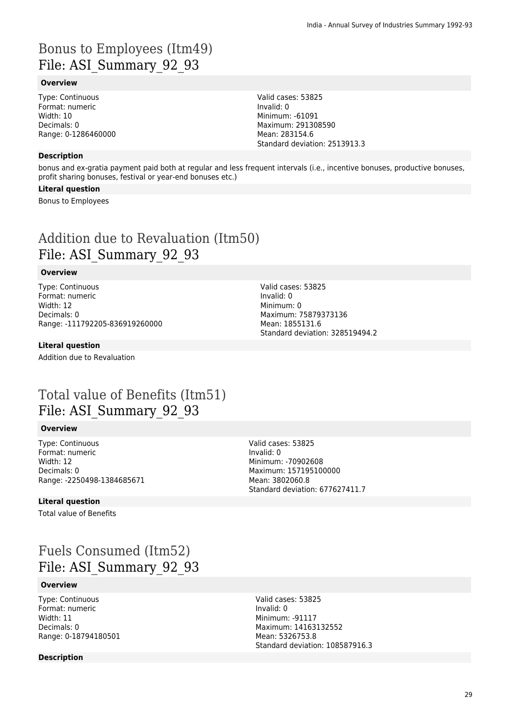## Bonus to Employees (Itm49) File: ASI\_Summary\_92\_93

#### **Overview**

Type: Continuous Format: numeric Width: 10 Decimals: 0 Range: 0-1286460000

#### **Description**

bonus and ex-gratia payment paid both at regular and less frequent intervals (i.e., incentive bonuses, productive bonuses, profit sharing bonuses, festival or year-end bonuses etc.)

#### **Literal question**

Bonus to Employees

### Addition due to Revaluation (Itm50) File: ASI\_Summary\_92\_93

#### **Overview**

Type: Continuous Format: numeric Width: 12 Decimals: 0 Range: -111792205-836919260000

#### **Literal question**

Addition due to Revaluation

### Total value of Benefits (Itm51) File: ASI\_Summary\_92\_93

#### **Overview**

Type: Continuous Format: numeric Width: 12 Decimals: 0 Range: -2250498-1384685671

#### **Literal question**

Total value of Benefits

## Fuels Consumed (Itm52) File: ASI\_Summary\_92\_93

#### **Overview**

Type: Continuous Format: numeric Width: 11 Decimals: 0 Range: 0-18794180501

#### **Description**

Valid cases: 53825 Invalid: 0 Minimum: -61091 Maximum: 291308590 Mean: 283154.6 Standard deviation: 2513913.3

Valid cases: 53825 Invalid: 0 Minimum: 0 Maximum: 75879373136 Mean: 1855131.6 Standard deviation: 328519494.2

Valid cases: 53825 Invalid: 0 Minimum: -70902608 Maximum: 157195100000 Mean: 3802060.8 Standard deviation: 677627411.7

Valid cases: 53825 Invalid: 0 Minimum: -91117 Maximum: 14163132552 Mean: 5326753.8 Standard deviation: 108587916.3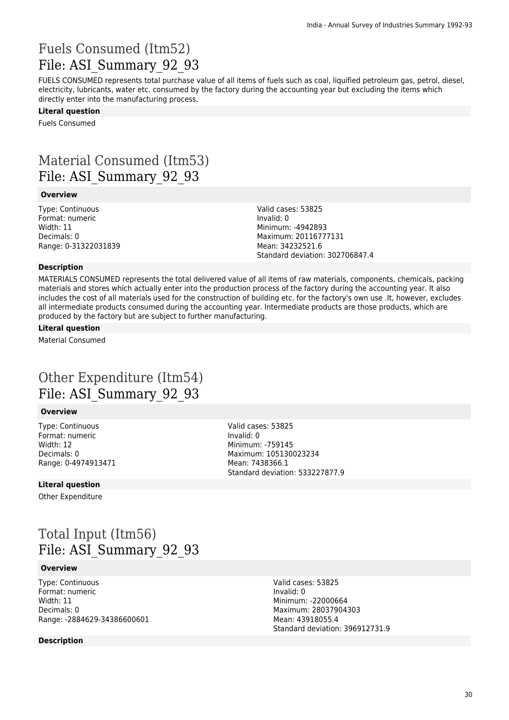### Fuels Consumed (Itm52) File: ASI\_Summary\_92\_93

FUELS CONSUMED represents total purchase value of all items of fuels such as coal, liquified petroleum gas, petrol, diesel, electricity, lubricants, water etc. consumed by the factory during the accounting year but excluding the items which directly enter into the manufacturing process.

#### **Literal question**

Fuels Consumed

## Material Consumed (Itm53) File: ASI\_Summary\_92\_93

#### **Overview**

Type: Continuous Format: numeric Width: 11 Decimals: 0 Range: 0-31322031839 Valid cases: 53825 Invalid: 0 Minimum: -4942893 Maximum: 20116777131 Mean: 34232521.6 Standard deviation: 302706847.4

#### **Description**

MATERIALS CONSUMED represents the total delivered value of all items of raw materials, components, chemicals, packing materials and stores which actually enter into the production process of the factory during the accounting year. It also includes the cost of all materials used for the construction of building etc. for the factory's own use .It, however, excludes all intermediate products consumed during the accounting year. Intermediate products are those products, which are produced by the factory but are subject to further manufacturing.

#### **Literal question**

Material Consumed

### Other Expenditure (Itm54) File: ASI\_Summary\_92\_93

#### **Overview**

Type: Continuous Format: numeric Width: 12 Decimals: 0 Range: 0-4974913471 Valid cases: 53825 Invalid: 0 Minimum: -759145 Maximum: 105130023234 Mean: 7438366.1 Standard deviation: 533227877.9

#### **Literal question**

Other Expenditure

## Total Input (Itm56) File: ASI\_Summary\_92\_93

#### **Overview**

Type: Continuous Format: numeric Width: 11 Decimals: 0 Range: -2884629-34386600601

#### **Description**

Valid cases: 53825 Invalid: 0 Minimum: -22000664 Maximum: 28037904303 Mean: 43918055.4 Standard deviation: 396912731.9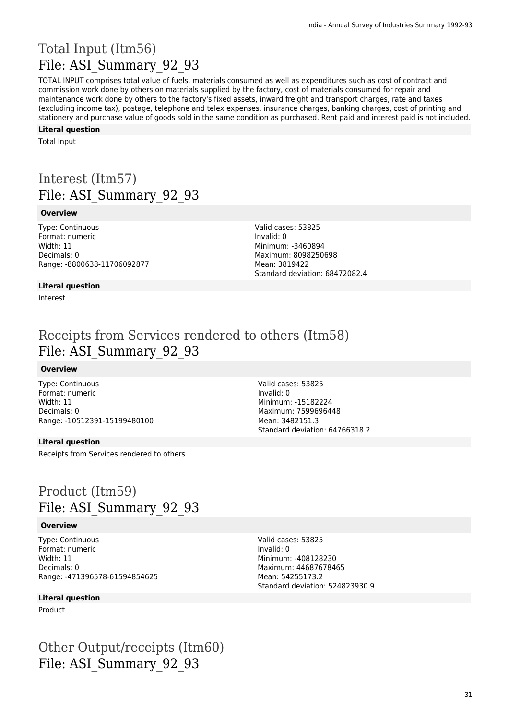### Total Input (Itm56) File: ASI\_Summary\_92\_93

TOTAL INPUT comprises total value of fuels, materials consumed as well as expenditures such as cost of contract and commission work done by others on materials supplied by the factory, cost of materials consumed for repair and maintenance work done by others to the factory's fixed assets, inward freight and transport charges, rate and taxes (excluding income tax), postage, telephone and telex expenses, insurance charges, banking charges, cost of printing and stationery and purchase value of goods sold in the same condition as purchased. Rent paid and interest paid is not included.

#### **Literal question**

Total Input

### Interest (Itm57) File: ASI\_Summary\_92\_93

#### **Overview**

Type: Continuous Format: numeric Width: 11 Decimals: 0 Range: -8800638-11706092877 Valid cases: 53825 Invalid: 0 Minimum: -3460894 Maximum: 8098250698 Mean: 3819422 Standard deviation: 68472082.4

#### **Literal question**

Interest

Receipts from Services rendered to others (Itm58) File: ASI\_Summary\_92\_93

#### **Overview**

Type: Continuous Format: numeric Width: 11 Decimals: 0 Range: -10512391-15199480100

#### **Literal question**

Receipts from Services rendered to others

Valid cases: 53825 Invalid: 0 Minimum: -15182224 Maximum: 7599696448 Mean: 3482151.3 Standard deviation: 64766318.2

### Product (Itm59) File: ASI\_Summary\_92\_93

#### **Overview**

Type: Continuous Format: numeric Width: 11 Decimals: 0 Range: -471396578-61594854625

#### **Literal question**

Product

Other Output/receipts (Itm60) File: ASI\_Summary\_92\_93

Valid cases: 53825 Invalid: 0 Minimum: -408128230 Maximum: 44687678465 Mean: 54255173.2 Standard deviation: 524823930.9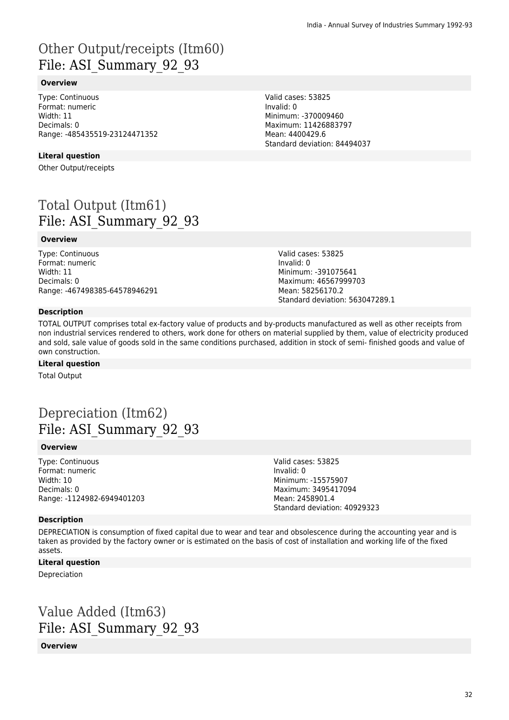## Other Output/receipts (Itm60) File: ASI\_Summary\_92\_93

#### **Overview**

Type: Continuous Format: numeric Width: 11 Decimals: 0 Range: -485435519-23124471352

#### **Literal question**

Other Output/receipts

Total Output (Itm61) File: ASI\_Summary\_92\_93

#### **Overview**

Type: Continuous Format: numeric Width: 11 Decimals: 0 Range: -467498385-64578946291 Valid cases: 53825 Invalid: 0 Minimum: -391075641 Maximum: 46567999703 Mean: 58256170.2 Standard deviation: 563047289.1

Valid cases: 53825

Minimum: -370009460 Maximum: 11426883797 Mean: 4400429.6

Standard deviation: 84494037

Invalid: 0

#### **Description**

TOTAL OUTPUT comprises total ex-factory value of products and by-products manufactured as well as other receipts from non industrial services rendered to others, work done for others on material supplied by them, value of electricity produced and sold, sale value of goods sold in the same conditions purchased, addition in stock of semi- finished goods and value of own construction.

#### **Literal question**

Total Output

## Depreciation (Itm62) File: ASI\_Summary\_92\_93

#### **Overview**

Type: Continuous Format: numeric Width: 10 Decimals: 0 Range: -1124982-6949401203 Valid cases: 53825 Invalid: 0 Minimum: -15575907 Maximum: 3495417094 Mean: 2458901.4 Standard deviation: 40929323

#### **Description**

DEPRECIATION is consumption of fixed capital due to wear and tear and obsolescence during the accounting year and is taken as provided by the factory owner or is estimated on the basis of cost of installation and working life of the fixed assets.

#### **Literal question**

Depreciation

## Value Added (Itm63) File: ASI\_Summary\_92\_93

#### **Overview**

32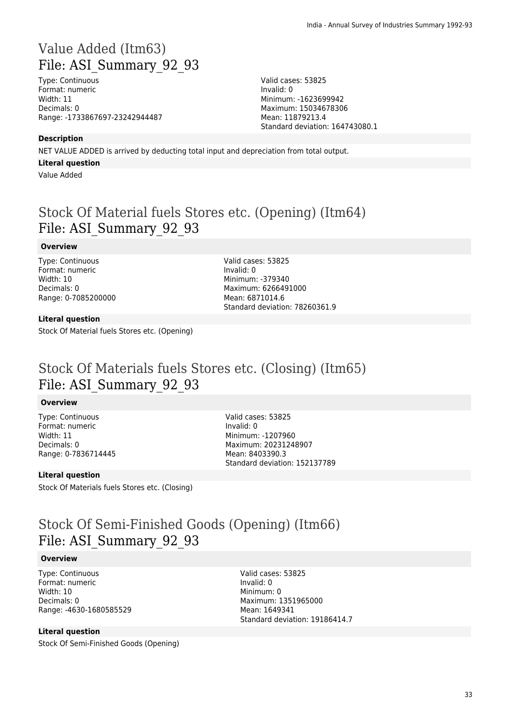## Value Added (Itm63) File: ASI\_Summary\_92\_93

Type: Continuous Format: numeric Width: 11 Decimals: 0 Range: -1733867697-23242944487 Valid cases: 53825 Invalid: 0 Minimum: -1623699942 Maximum: 15034678306 Mean: 11879213.4 Standard deviation: 164743080.1

#### **Description**

NET VALUE ADDED is arrived by deducting total input and depreciation from total output.

**Literal question** Value Added

## Stock Of Material fuels Stores etc. (Opening) (Itm64) File: ASI\_Summary\_92\_93

#### **Overview**

Type: Continuous Format: numeric Width: 10 Decimals: 0 Range: 0-7085200000 Valid cases: 53825 Invalid: 0 Minimum: -379340 Maximum: 6266491000 Mean: 6871014.6 Standard deviation: 78260361.9

#### **Literal question**

Stock Of Material fuels Stores etc. (Opening)

### Stock Of Materials fuels Stores etc. (Closing) (Itm65) File: ASI\_Summary\_92\_93

#### **Overview**

Type: Continuous Format: numeric Width: 11 Decimals: 0 Range: 0-7836714445 Valid cases: 53825 Invalid: 0 Minimum: -1207960 Maximum: 20231248907 Mean: 8403390.3 Standard deviation: 152137789

#### **Literal question**

Stock Of Materials fuels Stores etc. (Closing)

## Stock Of Semi-Finished Goods (Opening) (Itm66) File: ASI\_Summary\_92\_93

#### **Overview**

Type: Continuous Format: numeric Width: 10 Decimals: 0 Range: -4630-1680585529

#### **Literal question**

Stock Of Semi-Finished Goods (Opening)

Valid cases: 53825 Invalid: 0 Minimum: 0 Maximum: 1351965000 Mean: 1649341 Standard deviation: 19186414.7

33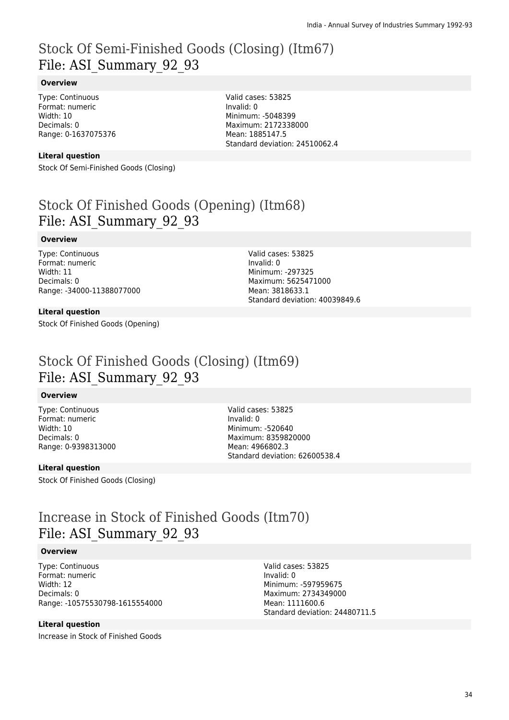### Stock Of Semi-Finished Goods (Closing) (Itm67) File: ASI\_Summary\_92\_93

#### **Overview**

Type: Continuous Format: numeric Width: 10 Decimals: 0 Range: 0-1637075376

Valid cases: 53825 Invalid: 0 Minimum: -5048399 Maximum: 2172338000 Mean: 1885147.5 Standard deviation: 24510062.4

#### **Literal question**

Stock Of Semi-Finished Goods (Closing)

## Stock Of Finished Goods (Opening) (Itm68) File: ASI\_Summary\_92\_93

#### **Overview**

Type: Continuous Format: numeric Width: 11 Decimals: 0 Range: -34000-11388077000 Valid cases: 53825 Invalid: 0 Minimum: -297325 Maximum: 5625471000 Mean: 3818633.1 Standard deviation: 40039849.6

#### **Literal question**

Stock Of Finished Goods (Opening)

### Stock Of Finished Goods (Closing) (Itm69) File: ASI\_Summary\_92\_93

#### **Overview**

Type: Continuous Format: numeric Width: 10 Decimals: 0 Range: 0-9398313000 Valid cases: 53825 Invalid: 0 Minimum: -520640 Maximum: 8359820000 Mean: 4966802.3 Standard deviation: 62600538.4

#### **Literal question**

Stock Of Finished Goods (Closing)

### Increase in Stock of Finished Goods (Itm70) File: ASI\_Summary\_92\_93

#### **Overview**

Type: Continuous Format: numeric Width: 12 Decimals: 0 Range: -10575530798-1615554000

#### **Literal question**

Increase in Stock of Finished Goods

Valid cases: 53825 Invalid: 0 Minimum: -597959675 Maximum: 2734349000 Mean: 1111600.6 Standard deviation: 24480711.5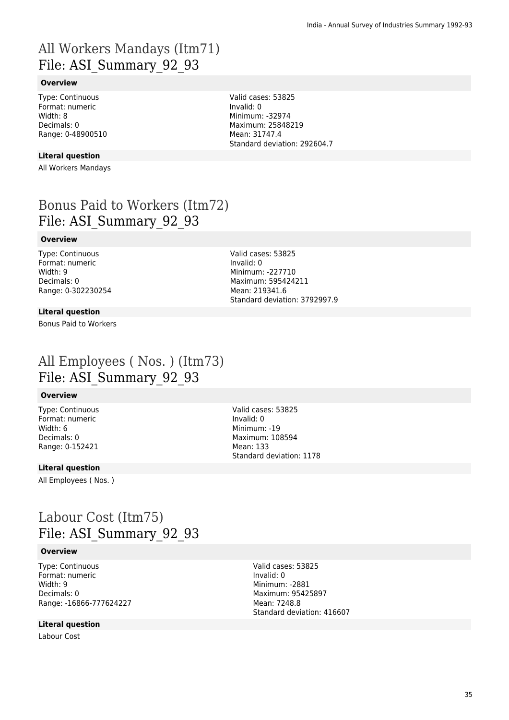## All Workers Mandays (Itm71) File: ASI\_Summary\_92\_93

#### **Overview**

Type: Continuous Format: numeric Width: 8 Decimals: 0 Range: 0-48900510

#### **Literal question**

All Workers Mandays

Bonus Paid to Workers (Itm72) File: ASI\_Summary\_92\_93

#### **Overview**

Type: Continuous Format: numeric Width: 9 Decimals: 0 Range: 0-302230254 Valid cases: 53825 Invalid: 0 Minimum: -227710 Maximum: 595424211 Mean: 219341.6 Standard deviation: 3792997.9

Valid cases: 53825

Minimum: -32974 Maximum: 25848219 Mean: 31747.4

Standard deviation: 292604.7

Invalid: 0

#### **Literal question**

Bonus Paid to Workers

### All Employees ( Nos. ) (Itm73) File: ASI\_Summary\_92\_93

#### **Overview**

Type: Continuous Format: numeric Width: 6 Decimals: 0 Range: 0-152421

#### **Literal question**

All Employees ( Nos. )

Valid cases: 53825 Invalid: 0 Minimum: -19 Maximum: 108594 Mean: 133 Standard deviation: 1178

### Labour Cost (Itm75) File: ASI\_Summary\_92\_93

#### **Overview**

Type: Continuous Format: numeric Width: 9 Decimals: 0 Range: -16866-777624227

#### **Literal question**

Labour Cost

Valid cases: 53825 Invalid: 0 Minimum: -2881 Maximum: 95425897 Mean: 7248.8 Standard deviation: 416607

35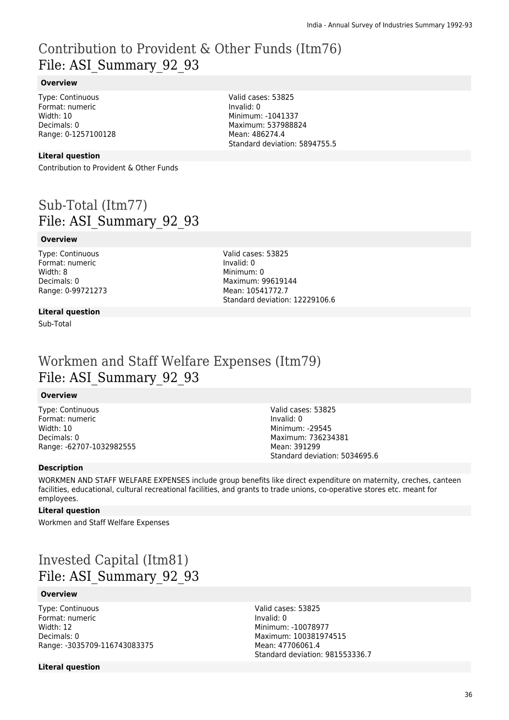### Contribution to Provident & Other Funds (Itm76) File: ASI\_Summary\_92\_93

#### **Overview**

Type: Continuous Format: numeric Width: 10 Decimals: 0 Range: 0-1257100128

#### **Literal question**

Contribution to Provident & Other Funds

## Sub-Total (Itm77) File: ASI\_Summary\_92\_93

#### **Overview**

Type: Continuous Format: numeric Width: 8 Decimals: 0 Range: 0-99721273 Valid cases: 53825 Invalid: 0 Minimum: 0 Maximum: 99619144 Mean: 10541772.7 Standard deviation: 12229106.6

Valid cases: 53825

Minimum: -1041337 Maximum: 537988824 Mean: 486274.4

Standard deviation: 5894755.5

Invalid: 0

#### **Literal question**

Sub-Total

### Workmen and Staff Welfare Expenses (Itm79) File: ASI\_Summary\_92\_93

#### **Overview**

Type: Continuous Format: numeric Width: 10 Decimals: 0 Range: -62707-1032982555 Valid cases: 53825 Invalid: 0 Minimum: -29545 Maximum: 736234381 Mean: 391299 Standard deviation: 5034695.6

#### **Description**

WORKMEN AND STAFF WELFARE EXPENSES include group benefits like direct expenditure on maternity, creches, canteen facilities, educational, cultural recreational facilities, and grants to trade unions, co-operative stores etc. meant for employees.

#### **Literal question**

Workmen and Staff Welfare Expenses

## Invested Capital (Itm81) File: ASI\_Summary\_92\_93

#### **Overview**

Type: Continuous Format: numeric Width: 12 Decimals: 0 Range: -3035709-116743083375

**Literal question**

Valid cases: 53825 Invalid: 0 Minimum: -10078977 Maximum: 100381974515 Mean: 47706061.4 Standard deviation: 981553336.7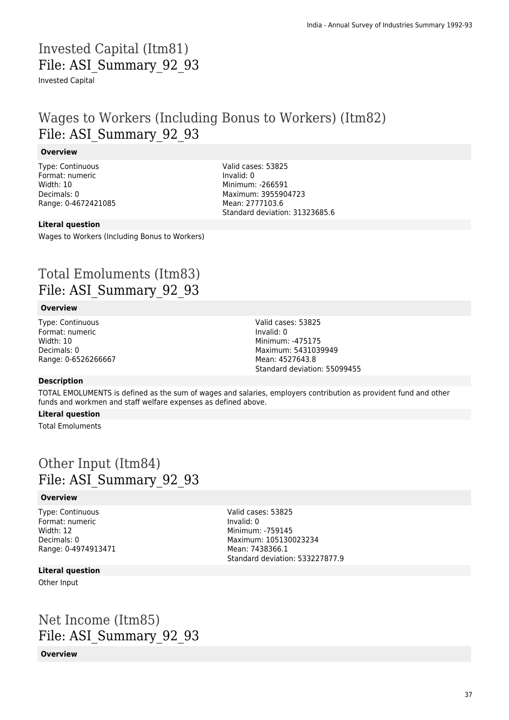### Invested Capital (Itm81) File: ASI\_Summary\_92\_93

Invested Capital

### Wages to Workers (Including Bonus to Workers) (Itm82) File: ASI\_Summary\_92\_93

#### **Overview**

Type: Continuous Format: numeric Width: 10 Decimals: 0 Range: 0-4672421085 Valid cases: 53825 Invalid: 0 Minimum: -266591 Maximum: 3955904723 Mean: 2777103.6 Standard deviation: 31323685.6

#### **Literal question**

Wages to Workers (Including Bonus to Workers)

### Total Emoluments (Itm83) File: ASI\_Summary\_92\_93

#### **Overview**

Type: Continuous Format: numeric Width: 10 Decimals: 0 Range: 0-6526266667 Valid cases: 53825 Invalid: 0 Minimum: -475175 Maximum: 5431039949 Mean: 4527643.8 Standard deviation: 55099455

#### **Description**

TOTAL EMOLUMENTS is defined as the sum of wages and salaries, employers contribution as provident fund and other funds and workmen and staff welfare expenses as defined above.

#### **Literal question**

Total Emoluments

### Other Input (Itm84) File: ASI\_Summary\_92\_93

#### **Overview**

Type: Continuous Format: numeric Width: 12 Decimals: 0 Range: 0-4974913471 Valid cases: 53825 Invalid: 0 Minimum: -759145 Maximum: 105130023234 Mean: 7438366.1 Standard deviation: 533227877.9

#### **Literal question**

Other Input

## Net Income (Itm85) File: ASI\_Summary\_92\_93

#### **Overview**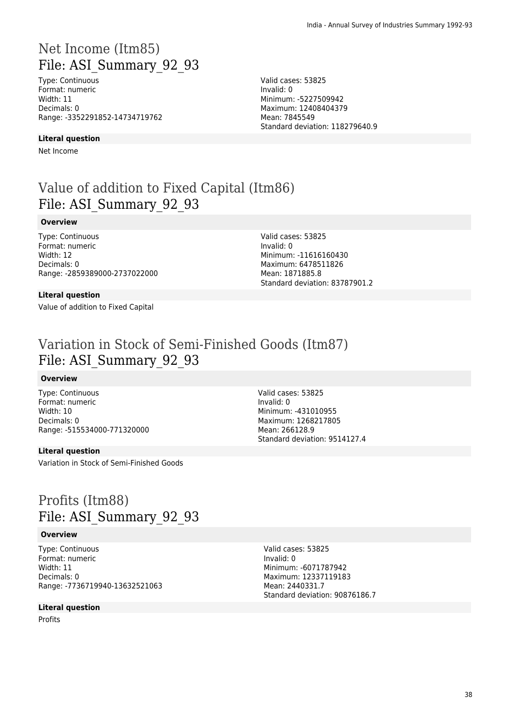### Net Income (Itm85) File: ASI\_Summary\_92\_93

Type: Continuous Format: numeric Width: 11 Decimals: 0 Range: -3352291852-14734719762

#### **Literal question**

Net Income

# Value of addition to Fixed Capital (Itm86) File: ASI\_Summary\_92\_93

#### **Overview**

Type: Continuous Format: numeric Width: 12 Decimals: 0 Range: -2859389000-2737022000

#### **Literal question**

Value of addition to Fixed Capital

Valid cases: 53825 Invalid: 0 Minimum: -5227509942 Maximum: 12408404379 Mean: 7845549 Standard deviation: 118279640.9

Valid cases: 53825 Invalid: 0 Minimum: -11616160430 Maximum: 6478511826 Mean: 1871885.8 Standard deviation: 83787901.2

## Variation in Stock of Semi-Finished Goods (Itm87) File: ASI\_Summary\_92\_93

#### **Overview**

Type: Continuous Format: numeric Width: 10 Decimals: 0 Range: -515534000-771320000

#### **Literal question**

Variation in Stock of Semi-Finished Goods

Valid cases: 53825 Invalid: 0 Minimum: -431010955 Maximum: 1268217805 Mean: 266128.9 Standard deviation: 9514127.4

### Profits (Itm88) File: ASI\_Summary\_92\_93

#### **Overview**

Type: Continuous Format: numeric Width: 11 Decimals: 0 Range: -7736719940-13632521063

#### **Literal question**

Profits

Valid cases: 53825 Invalid: 0 Minimum: -6071787942 Maximum: 12337119183 Mean: 2440331.7 Standard deviation: 90876186.7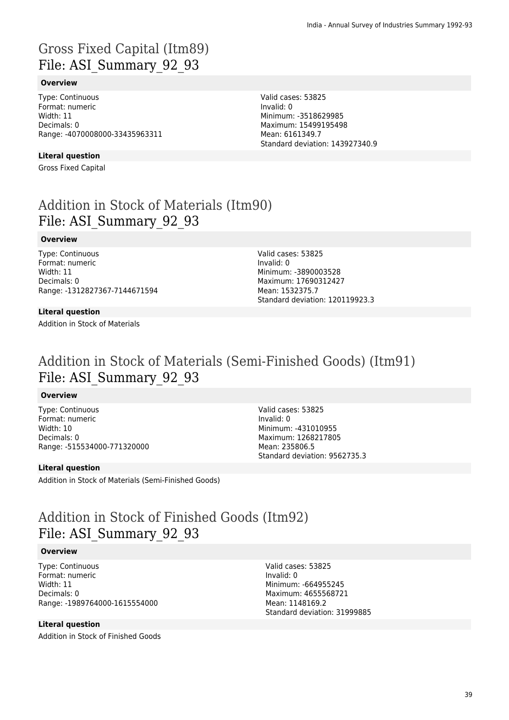## Gross Fixed Capital (Itm89) File: ASI\_Summary\_92\_93

#### **Overview**

Type: Continuous Format: numeric Width: 11 Decimals: 0 Range: -4070008000-33435963311

#### **Literal question**

Gross Fixed Capital

Addition in Stock of Materials (Itm90) File: ASI\_Summary\_92\_93

#### **Overview**

Type: Continuous Format: numeric Width: 11 Decimals: 0 Range: -1312827367-7144671594

#### **Literal question**

Addition in Stock of Materials

Valid cases: 53825 Invalid: 0 Minimum: -3518629985 Maximum: 15499195498 Mean: 6161349.7 Standard deviation: 143927340.9

Valid cases: 53825 Invalid: 0 Minimum: -3890003528 Maximum: 17690312427 Mean: 1532375.7 Standard deviation: 120119923.3

## Addition in Stock of Materials (Semi-Finished Goods) (Itm91) File: ASI\_Summary\_92\_93

#### **Overview**

Type: Continuous Format: numeric Width: 10 Decimals: 0 Range: -515534000-771320000

#### **Literal question**

Addition in Stock of Materials (Semi-Finished Goods)

Valid cases: 53825 Invalid: 0 Minimum: -431010955 Maximum: 1268217805 Mean: 235806.5 Standard deviation: 9562735.3

## Addition in Stock of Finished Goods (Itm92) File: ASI\_Summary\_92\_93

#### **Overview**

Type: Continuous Format: numeric Width: 11 Decimals: 0 Range: -1989764000-1615554000

#### **Literal question**

Addition in Stock of Finished Goods

Valid cases: 53825 Invalid: 0 Minimum: -664955245 Maximum: 4655568721 Mean: 1148169.2 Standard deviation: 31999885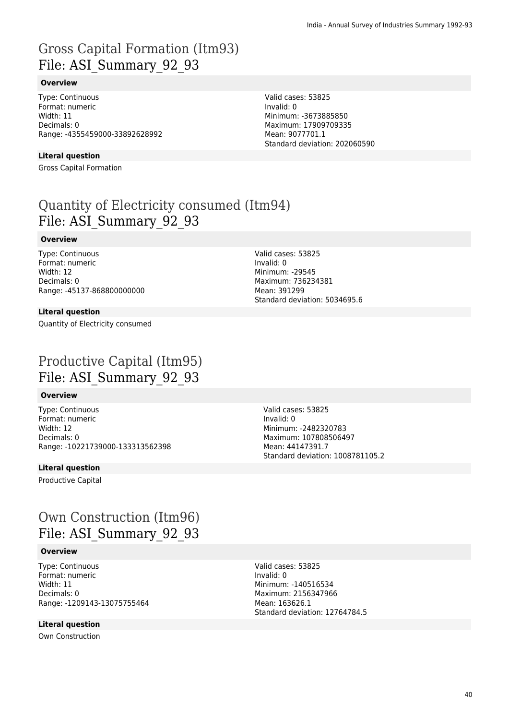## Gross Capital Formation (Itm93) File: ASI\_Summary\_92\_93

#### **Overview**

Type: Continuous Format: numeric Width: 11 Decimals: 0 Range: -4355459000-33892628992

#### **Literal question**

Gross Capital Formation

## Quantity of Electricity consumed (Itm94) File: ASI\_Summary\_92\_93

#### **Overview**

Type: Continuous Format: numeric Width: 12 Decimals: 0 Range: -45137-868800000000

#### **Literal question**

Quantity of Electricity consumed

Invalid: 0 Minimum: -29545 Maximum: 736234381 Mean: 391299 Standard deviation: 5034695.6

Valid cases: 53825

Valid cases: 53825

Minimum: -3673885850 Maximum: 17909709335 Mean: 9077701.1

Standard deviation: 202060590

Invalid: 0

## Productive Capital (Itm95) File: ASI\_Summary\_92\_93

#### **Overview**

Type: Continuous Format: numeric Width: 12 Decimals: 0 Range: -10221739000-133313562398

#### **Literal question**

Productive Capital

Valid cases: 53825 Invalid: 0 Minimum: -2482320783 Maximum: 107808506497 Mean: 44147391.7 Standard deviation: 1008781105.2

### Own Construction (Itm96) File: ASI\_Summary\_92\_93

#### **Overview**

Type: Continuous Format: numeric Width: 11 Decimals: 0 Range: -1209143-13075755464

#### **Literal question**

Own Construction

Valid cases: 53825 Invalid: 0 Minimum: -140516534 Maximum: 2156347966 Mean: 163626.1 Standard deviation: 12764784.5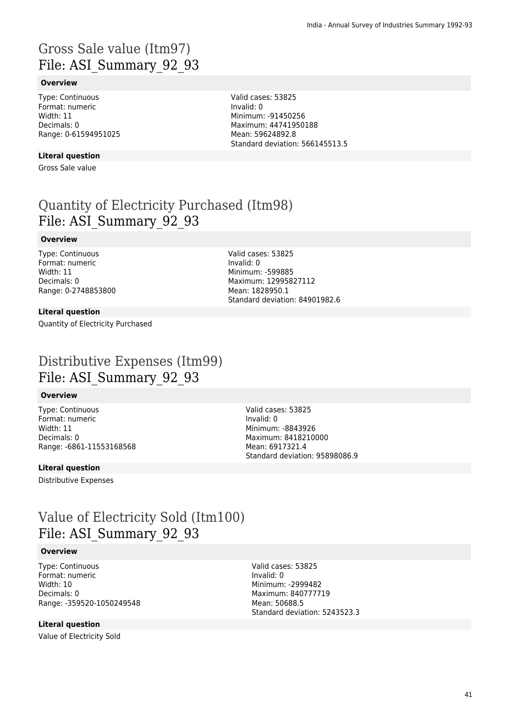## Gross Sale value (Itm97) File: ASI\_Summary\_92\_93

#### **Overview**

Type: Continuous Format: numeric Width: 11 Decimals: 0 Range: 0-61594951025

#### **Literal question**

Gross Sale value

Quantity of Electricity Purchased (Itm98) File: ASI\_Summary\_92\_93

#### **Overview**

Type: Continuous Format: numeric Width: 11 Decimals: 0 Range: 0-2748853800

Valid cases: 53825 Invalid: 0 Minimum: -599885 Maximum: 12995827112 Mean: 1828950.1 Standard deviation: 84901982.6

Valid cases: 53825

Minimum: -91450256 Maximum: 44741950188 Mean: 59624892.8

Standard deviation: 566145513.5

Invalid: 0

#### **Literal question**

Quantity of Electricity Purchased

### Distributive Expenses (Itm99) File: ASI\_Summary\_92\_93

#### **Overview**

Type: Continuous Format: numeric Width: 11 Decimals: 0 Range: -6861-11553168568

#### **Literal question**

Distributive Expenses

Valid cases: 53825 Invalid: 0 Minimum: -8843926 Maximum: 8418210000 Mean: 6917321.4 Standard deviation: 95898086.9

### Value of Electricity Sold (Itm100) File: ASI\_Summary\_92\_93

#### **Overview**

Type: Continuous Format: numeric Width: 10 Decimals: 0 Range: -359520-1050249548

#### **Literal question**

Value of Electricity Sold

Valid cases: 53825 Invalid: 0 Minimum: -2999482 Maximum: 840777719 Mean: 50688.5 Standard deviation: 5243523.3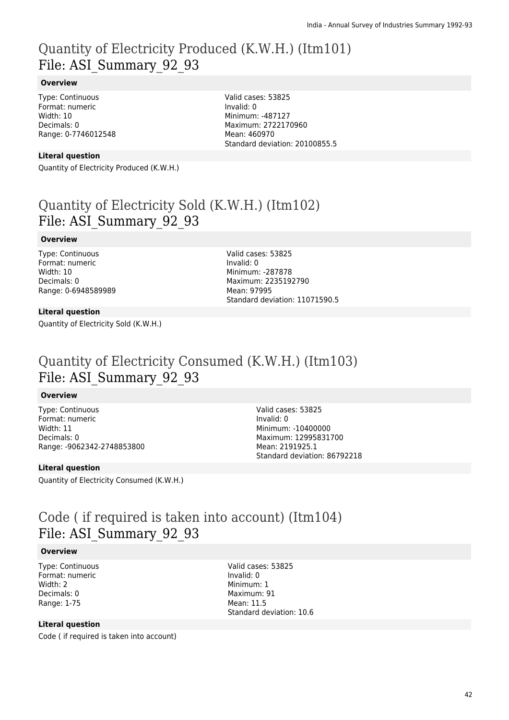### Quantity of Electricity Produced (K.W.H.) (Itm101) File: ASI\_Summary\_92\_93

#### **Overview**

Type: Continuous Format: numeric Width: 10 Decimals: 0 Range: 0-7746012548 Valid cases: 53825 Invalid: 0 Minimum: -487127 Maximum: 2722170960 Mean: 460970 Standard deviation: 20100855.5

#### **Literal question**

Quantity of Electricity Produced (K.W.H.)

## Quantity of Electricity Sold (K.W.H.) (Itm102) File: ASI\_Summary\_92\_93

#### **Overview**

Type: Continuous Format: numeric Width: 10 Decimals: 0 Range: 0-6948589989 Valid cases: 53825 Invalid: 0 Minimum: -287878 Maximum: 2235192790 Mean: 97995 Standard deviation: 11071590.5

#### **Literal question**

Quantity of Electricity Sold (K.W.H.)

### Quantity of Electricity Consumed (K.W.H.) (Itm103) File: ASI\_Summary\_92\_93

#### **Overview**

Type: Continuous Format: numeric Width: 11 Decimals: 0 Range: -9062342-2748853800

#### **Literal question**

Quantity of Electricity Consumed (K.W.H.)

Valid cases: 53825 Invalid: 0 Minimum: -10400000 Maximum: 12995831700 Mean: 2191925.1 Standard deviation: 86792218

### Code ( if required is taken into account) (Itm104) File: ASI\_Summary\_92\_93

#### **Overview**

Type: Continuous Format: numeric Width: 2 Decimals: 0 Range: 1-75

Valid cases: 53825 Invalid: 0 Minimum: 1 Maximum: 91 Mean: 11.5 Standard deviation: 10.6

#### **Literal question**

Code ( if required is taken into account)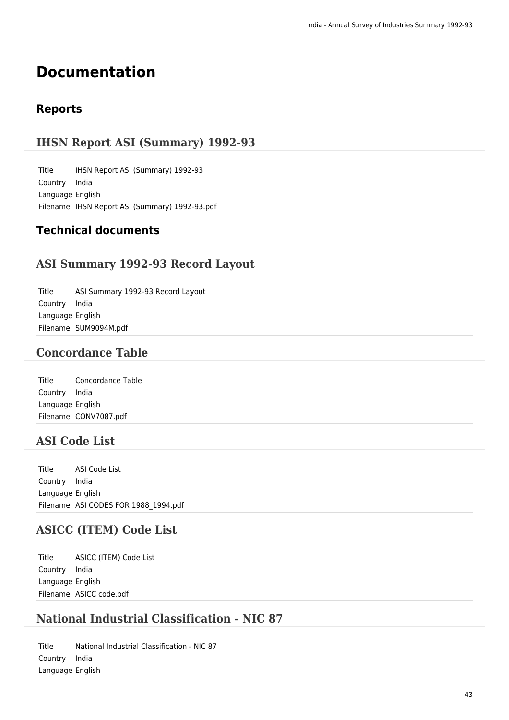## **Documentation**

### **Reports**

### **IHSN Report ASI (Summary) 1992-93**

Title IHSN Report ASI (Summary) 1992-93 Country India Language English Filename IHSN Report ASI (Summary) 1992-93.pdf

### **Technical documents**

### **ASI Summary 1992-93 Record Layout**

Title ASI Summary 1992-93 Record Layout Country India Language English Filename SUM9094M.pdf

### **Concordance Table**

Title Concordance Table Country India Language English Filename CONV7087.pdf

### **ASI Code List**

Title ASI Code List Country India Language English Filename ASI CODES FOR 1988 1994.pdf

### **ASICC (ITEM) Code List**

Title ASICC (ITEM) Code List Country India Language English Filename ASICC code.pdf

### **National Industrial Classification - NIC 87**

Title National Industrial Classification - NIC 87 Country India Language English